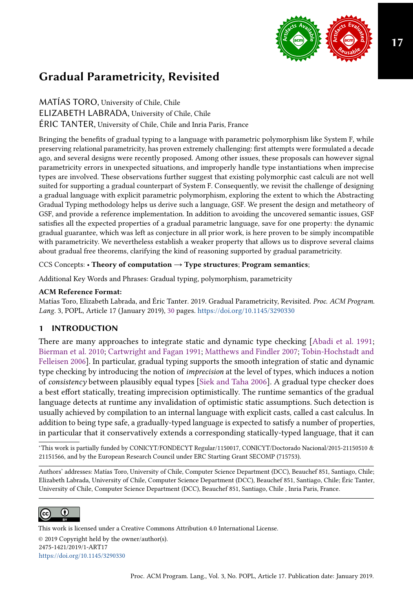

# Gradual Parametricity, Revisited

MATÍAS TORO, University of Chile, Chile ELIZABETH LABRADA, University of Chile, Chile ÉRIC TANTER, University of Chile, Chile and Inria Paris, France

Bringing the benefits of gradual typing to a language with parametric polymorphism like System F, while preserving relational parametricity, has proven extremely challenging: first attempts were formulated a decade ago, and several designs were recently proposed. Among other issues, these proposals can however signal parametricity errors in unexpected situations, and improperly handle type instantiations when imprecise types are involved. These observations further suggest that existing polymorphic cast calculi are not well suited for supporting a gradual counterpart of System F. Consequently, we revisit the challenge of designing a gradual language with explicit parametric polymorphism, exploring the extent to which the Abstracting Gradual Typing methodology helps us derive such a language, GSF. We present the design and metatheory of GSF, and provide a reference implementation. In addition to avoiding the uncovered semantic issues, GSF satisfies all the expected properties of a gradual parametric language, save for one property: the dynamic gradual guarantee, which was left as conjecture in all prior work, is here proven to be simply incompatible with parametricity. We nevertheless establish a weaker property that allows us to disprove several claims about gradual free theorems, clarifying the kind of reasoning supported by gradual parametricity.

CCS Concepts: • Theory of computation  $\rightarrow$  Type structures; Program semantics;

Additional Key Words and Phrases: Gradual typing, polymorphism, parametricity

### ACM Reference Format:

Matías Toro, Elizabeth Labrada, and Éric Tanter. 2019. Gradual Parametricity, Revisited. Proc. ACM Program. Lang. 3, POPL, Article 17 (January 2019), [30](#page-29-0) pages. <https://doi.org/10.1145/3290330>

# 1 INTRODUCTION

There are many approaches to integrate static and dynamic type checking [\[Abadi et al.](#page-27-0) [1991;](#page-27-0) [Bierman et al.](#page-27-1) [2010;](#page-27-1) [Cartwright and Fagan 1991;](#page-27-2) [Matthews and Findler 2007;](#page-28-0) [Tobin-Hochstadt and](#page-28-1) [Felleisen 2006\]](#page-28-1). In particular, gradual typing supports the smooth integration of static and dynamic type checking by introducing the notion of imprecision at the level of types, which induces a notion of consistency between plausibly equal types [\[Siek and Taha 2006\]](#page-28-2). A gradual type checker does a best effort statically, treating imprecision optimistically. The runtime semantics of the gradual language detects at runtime any invalidation of optimistic static assumptions. Such detection is usually achieved by compilation to an internal language with explicit casts, called a cast calculus. In addition to being type safe, a gradually-typed language is expected to satisfy a number of properties, in particular that it conservatively extends a corresponding statically-typed language, that it can

<sup>∗</sup>This work is partially funded by CONICYT/FONDECYT Regular/1150017, CONICYT/Doctorado Nacional/2015-21150510 & 21151566, and by the European Research Council under ERC Starting Grant SECOMP (715753).

Authors' addresses: Matías Toro, University of Chile, Computer Science Department (DCC), Beauchef 851, Santiago, Chile; Elizabeth Labrada, University of Chile, Computer Science Department (DCC), Beauchef 851, Santiago, Chile; Éric Tanter, University of Chile, Computer Science Department (DCC), Beauchef 851, Santiago, Chile , Inria Paris, France.



This work is licensed under a Creative Commons Attribution 4.0 International License. © 2019 Copyright held by the owner/author(s). 2475-1421/2019/1-ART17 <https://doi.org/10.1145/3290330>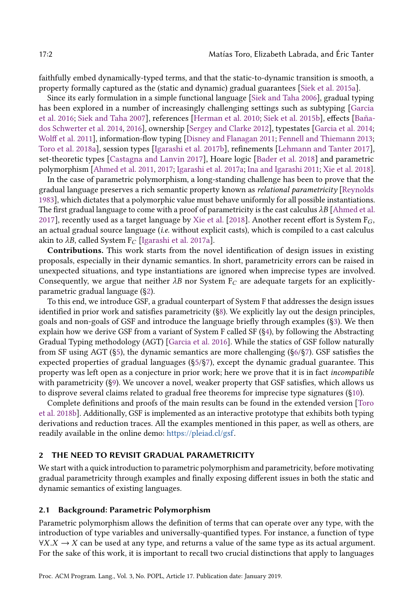faithfully embed dynamically-typed terms, and that the static-to-dynamic transition is smooth, a property formally captured as the (static and dynamic) gradual guarantees [\[Siek et al. 2015a\]](#page-28-3).

Since its early formulation in a simple functional language [\[Siek and Taha 2006\]](#page-28-2), gradual typing has been explored in a number of increasingly challenging settings such as subtyping [\[Garcia](#page-27-3) [et al.](#page-27-3) [2016;](#page-27-3) [Siek and Taha 2007\]](#page-28-4), references [\[Herman et al.](#page-27-4) [2010;](#page-27-4) [Siek et al.](#page-28-5) [2015b\]](#page-28-5), effects [\[Baña](#page-27-5)[dos Schwerter et al.](#page-27-5) [2014,](#page-27-5) [2016\]](#page-27-6), ownership [\[Sergey and Clarke 2012\]](#page-28-6), typestates [\[Garcia et al.](#page-27-7) [2014;](#page-27-7) [Wolff et al.](#page-29-1) [2011\]](#page-29-1), information-flow typing [\[Disney and Flanagan 2011;](#page-27-8) [Fennell and Thiemann 2013;](#page-27-9) [Toro et al.](#page-28-7) [2018a\]](#page-28-7), session types [\[Igarashi et al.](#page-27-10) [2017b\]](#page-27-10), refinements [\[Lehmann and Tanter 2017\]](#page-28-8), set-theoretic types [\[Castagna and Lanvin 2017\]](#page-27-11), Hoare logic [\[Bader et al.](#page-27-12) [2018\]](#page-27-12) and parametric polymorphism [\[Ahmed et al.](#page-27-13) [2011,](#page-27-13) [2017;](#page-27-14) [Igarashi et al.](#page-27-15) [2017a;](#page-27-15) [Ina and Igarashi 2011;](#page-27-16) [Xie et al.](#page-29-2) [2018\]](#page-29-2).

In the case of parametric polymorphism, a long-standing challenge has been to prove that the gradual language preserves a rich semantic property known as relational parametricity [\[Reynolds](#page-28-9) [1983\]](#page-28-9), which dictates that a polymorphic value must behave uniformly for all possible instantiations. The first gradual language to come with a proof of parametricity is the cast calculus  $\lambda B$  [\[Ahmed et al.](#page-27-14) [2017\]](#page-27-14), recently used as a target language by [Xie et al.](#page-29-2) [\[2018\]](#page-29-2). Another recent effort is System  $F_G$ , an actual gradual source language (*i.e.* without explicit casts), which is compiled to a cast calculus akin to  $\lambda B$ , called System F<sub>C</sub> [\[Igarashi et al. 2017a\]](#page-27-15).

Contributions. This work starts from the novel identification of design issues in existing proposals, especially in their dynamic semantics. In short, parametricity errors can be raised in unexpected situations, and type instantiations are ignored when imprecise types are involved. Consequently, we argue that neither  $\lambda B$  nor System  $F_C$  are adequate targets for an explicitlyparametric gradual language ([ğ2\)](#page-1-0).

To this end, we introduce GSF, a gradual counterpart of System F that addresses the design issues identified in prior work and satisfies parametricity  $(\S_8)$ . We explicitly lay out the design principles, goals and non-goals of GSF and introduce the language briefly through examples ([ğ3\)](#page-6-0). We then explain how we derive GSF from a variant of System F called SF ([ğ4\)](#page-8-0), by following the Abstracting Gradual Typing methodology (AGT) [\[Garcia et al.](#page-27-3) [2016\]](#page-27-3). While the statics of GSF follow naturally from SF using AGT ([ğ5\)](#page-10-0), the dynamic semantics are more challenging ([ğ6/](#page-13-0)[ğ7\)](#page-17-0). GSF satisfies the expected properties of gradual languages ([ğ5/](#page-10-0)[ğ7\)](#page-17-0), except the dynamic gradual guarantee. This property was left open as a conjecture in prior work; here we prove that it is in fact incompatible with parametricity ([ğ9\)](#page-22-0). We uncover a novel, weaker property that GSF satisfies, which allows us to disprove several claims related to gradual free theorems for imprecise type signatures ([ğ10\)](#page-23-0).

Complete definitions and proofs of the main results can be found in the extended version [\[Toro](#page-28-10) [et al.](#page-28-10) [2018b\]](#page-28-10). Additionally, GSF is implemented as an interactive prototype that exhibits both typing derivations and reduction traces. All the examples mentioned in this paper, as well as others, are readily available in the online demo: [https://pleiad.cl/gsf.](https://pleiad.cl/gsf)

### <span id="page-1-0"></span>2 THE NEED TO REVISIT GRADUAL PARAMETRICITY

We start with a quick introduction to parametric polymorphism and parametricity, before motivating gradual parametricity through examples and finally exposing different issues in both the static and dynamic semantics of existing languages.

#### <span id="page-1-1"></span>2.1 Background: Parametric Polymorphism

Parametric polymorphism allows the definition of terms that can operate over any type, with the introduction of type variables and universally-quantified types. For instance, a function of type  $\forall X.X \rightarrow X$  can be used at any type, and returns a value of the same type as its actual argument. For the sake of this work, it is important to recall two crucial distinctions that apply to languages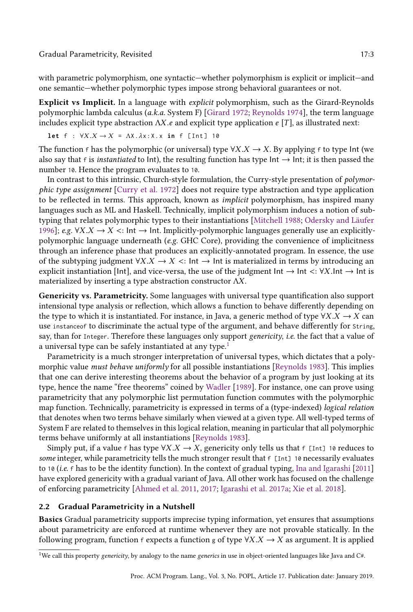#### Gradual Parametricity, Revisited 17:3

with parametric polymorphism, one syntactic—whether polymorphism is explicit or implicit—and one semantic—whether polymorphic types impose strong behavioral guarantees or not.

Explicit vs Implicit. In a language with explicit polymorphism, such as the Girard-Reynolds polymorphic lambda calculus (a.k.a. System F) [\[Girard 1972;](#page-27-17) [Reynolds 1974\]](#page-28-11), the term language includes explicit type abstraction  $\Lambda X$ .e and explicit type application e [T], as illustrated next:

$$
\text{let } f : \forall X. X \to X = \Lambda X. \lambda x: X. x \text{ in } f \text{ [Int]} 10
$$

The function f has the polymorphic (or universal) type  $\forall X.X \rightarrow X$ . By applying f to type Int (we also say that f is *instantiated* to Int), the resulting function has type Int  $\rightarrow$  Int; it is then passed the number 10. Hence the program evaluates to 10.

In contrast to this intrinsic, Church-style formulation, the Curry-style presentation of polymorphic type assignment [\[Curry et al.](#page-27-18) [1972\]](#page-27-18) does not require type abstraction and type application to be reflected in terms. This approach, known as implicit polymorphism, has inspired many languages such as ML and Haskell. Technically, implicit polymorphism induces a notion of subtyping that relates polymorphic types to their instantiations [\[Mitchell 1988;](#page-28-12) [Odersky and Läufer](#page-28-13) [1996\]](#page-28-13); e.g. ∀X.X  $\rightarrow$  X <: Int  $\rightarrow$  Int. Implicitly-polymorphic languages generally use an explicitlypolymorphic language underneath (e.g. GHC Core), providing the convenience of implicitness through an inference phase that produces an explicitly-annotated program. In essence, the use of the subtyping judgment  $\forall X.X \rightarrow X$  <: Int  $\rightarrow$  Int is materialized in terms by introducing an explicit instantiation [Int], and vice-versa, the use of the judgment Int  $\rightarrow$  Int  $\lt: \forall X$ .Int  $\rightarrow$  Int is materialized by inserting a type abstraction constructor ΛX.

Genericity vs. Parametricity. Some languages with universal type quantification also support intensional type analysis or reflection, which allows a function to behave differently depending on the type to which it is instantiated. For instance, in Java, a generic method of type  $\forall X.X \rightarrow X$  can use instanceof to discriminate the actual type of the argument, and behave differently for String, say, than for Integer. Therefore these languages only support *genericity, i.e.* the fact that a value of a universal type can be safely instantiated at any type.<sup>[1](#page-2-0)</sup>

Parametricity is a much stronger interpretation of universal types, which dictates that a polymorphic value must behave uniformly for all possible instantiations [\[Reynolds 1983\]](#page-28-9). This implies that one can derive interesting theorems about the behavior of a program by just looking at its type, hence the name "free theorems" coined by [Wadler](#page-29-3) [\[1989\]](#page-29-3). For instance, one can prove using parametricity that any polymorphic list permutation function commutes with the polymorphic map function. Technically, parametricity is expressed in terms of a (type-indexed) logical relation that denotes when two terms behave similarly when viewed at a given type. All well-typed terms of System F are related to themselves in this logical relation, meaning in particular that all polymorphic terms behave uniformly at all instantiations [\[Reynolds 1983\]](#page-28-9).

Simply put, if a value f has type  $\forall X.X \rightarrow X$ , genericity only tells us that f [Int] 10 reduces to some integer, while parametricity tells the much stronger result that  $f$  [Int] 10 necessarily evaluates to 10 (*i.e.* f has to be the identity function). In the context of gradual typing, [Ina and Igarashi](#page-27-16) [\[2011\]](#page-27-16) have explored genericity with a gradual variant of Java. All other work has focused on the challenge of enforcing parametricity [\[Ahmed et al. 2011,](#page-27-13) [2017;](#page-27-14) [Igarashi et al. 2017a;](#page-27-15) [Xie et al. 2018\]](#page-29-2).

### <span id="page-2-1"></span>2.2 Gradual Parametricity in a Nutshell

Basics Gradual parametricity supports imprecise typing information, yet ensures that assumptions about parametricity are enforced at runtime whenever they are not provable statically. In the following program, function f expects a function g of type  $\forall X.X \rightarrow X$  as argument. It is applied

<span id="page-2-0"></span><sup>&</sup>lt;sup>1</sup>We call this property genericity, by analogy to the name generics in use in object-oriented languages like Java and C#.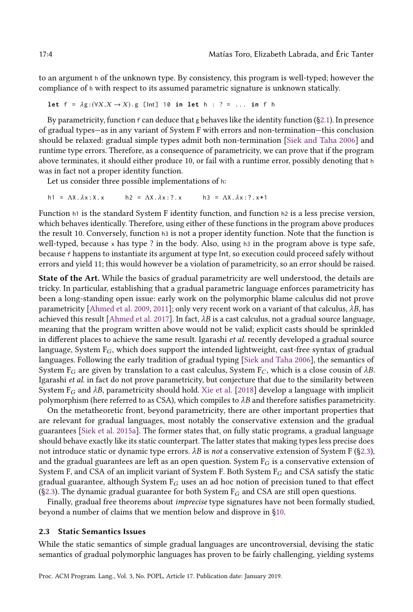to an argument h of the unknown type. By consistency, this program is well-typed; however the compliance of h with respect to its assumed parametric signature is unknown statically.

let  $f = \lambda g$ :  $(\forall X . X \rightarrow X) . g$  [lnt] 10 **in** let  $h : ? = ...$  in f h

By parametricity, function  $f$  can deduce that g behaves like the identity function (§2.1). In presence of gradual types—as in any variant of System F with errors and non-termination—this conclusion should be relaxed: gradual simple types admit both non-termination [\[Siek and Taha 2006\]](#page-28-2) and runtime type errors. Therefore, as a consequence of parametricity, we can prove that if the program above terminates, it should either produce 10, or fail with a runtime error, possibly denoting that h was in fact not a proper identity function.

Let us consider three possible implementations of h:

h1 = ΛX.λx:X.x h2 = ΛX.λx :?. x h3 = ΛX.λx :?. x**+**1

Function h1 is the standard System F identity function, and function h2 is a less precise version, which behaves identically. Therefore, using either of these functions in the program above produces the result 10. Conversely, function h3 is not a proper identity function. Note that the function is well-typed, because  $x$  has type ? in the body. Also, using h3 in the program above is type safe, because f happens to instantiate its argument at type Int, so execution could proceed safely without errors and yield 11; this would however be a violation of parametricity, so an error should be raised.

State of the Art. While the basics of gradual parametricity are well understood, the details are tricky. In particular, establishing that a gradual parametric language enforces parametricity has been a long-standing open issue: early work on the polymorphic blame calculus did not prove parametricity [\[Ahmed et al.](#page-27-19) [2009,](#page-27-19) [2011\]](#page-27-13); only very recent work on a variant of that calculus,  $\lambda B$ , has achieved this result [\[Ahmed et al.](#page-27-14) [2017\]](#page-27-14). In fact,  $\lambda B$  is a cast calculus, not a gradual source language, meaning that the program written above would not be valid; explicit casts should be sprinkled in different places to achieve the same result. Igarashi et al. recently developed a gradual source language, System  $F_G$ , which does support the intended lightweight, cast-free syntax of gradual languages. Following the early tradition of gradual typing [\[Siek and Taha 2006\]](#page-28-2), the semantics of System  $F_G$  are given by translation to a cast calculus, System  $F_G$ , which is a close cousin of  $\lambda B$ . Igarashi et al. in fact do not prove parametricity, but conjecture that due to the similarity between System  $F_G$  and  $\lambda B$ , parametricity should hold. [Xie et al.](#page-29-2) [\[2018\]](#page-29-2) develop a language with implicit polymorphism (here referred to as CSA), which compiles to  $\lambda B$  and therefore satisfies parametricity.

On the metatheoretic front, beyond parametricity, there are other important properties that are relevant for gradual languages, most notably the conservative extension and the gradual guarantees [\[Siek et al.](#page-28-3) [2015a\]](#page-28-3). The former states that, on fully static programs, a gradual language should behave exactly like its static counterpart. The latter states that making types less precise does not introduce static or dynamic type errors.  $\lambda B$  is not a conservative extension of System F (§2.3), and the gradual guarantees are left as an open question. System  $F_G$  is a conservative extension of System F, and CSA of an implicit variant of System F. Both System  $F_G$  and CSA satisfy the static gradual guarantee, although System  $F_G$  uses an ad hoc notion of precision tuned to that effect (§2.3). The dynamic gradual guarantee for both System  $F_G$  and CSA are still open questions.

Finally, gradual free theorems about *imprecise* type signatures have not been formally studied, beyond a number of claims that we mention below and disprove in [ğ10.](#page-23-0)

### <span id="page-3-0"></span>2.3 Static Semantics Issues

While the static semantics of simple gradual languages are uncontroversial, devising the static semantics of gradual polymorphic languages has proven to be fairly challenging, yielding systems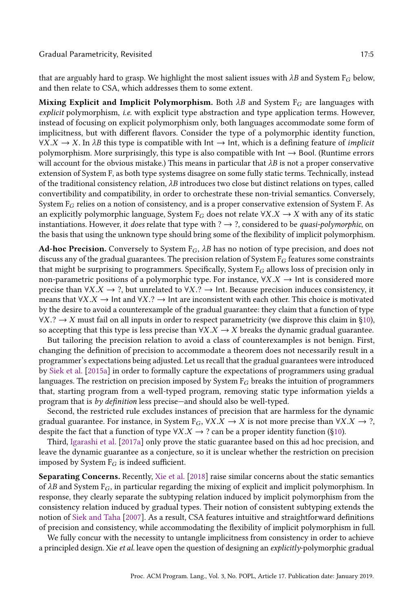that are arguably hard to grasp. We highlight the most salient issues with  $\lambda B$  and System F<sub>G</sub> below, and then relate to CSA, which addresses them to some extent.

Mixing Explicit and Implicit Polymorphism. Both  $\lambda B$  and System F<sub>G</sub> are languages with explicit polymorphism, i.e. with explicit type abstraction and type application terms. However, instead of focusing on explicit polymorphism only, both languages accommodate some form of implicitness, but with different flavors. Consider the type of a polymorphic identity function,  $\forall X.X \rightarrow X$ . In  $\lambda B$  this type is compatible with  $Int \rightarrow Int$ , which is a defining feature of *implicit* polymorphism. More surprisingly, this type is also compatible with  $Int \rightarrow$  Bool. (Runtime errors will account for the obvious mistake.) This means in particular that  $\lambda B$  is not a proper conservative extension of System F, as both type systems disagree on some fully static terms. Technically, instead of the traditional consistency relation,  $\lambda B$  introduces two close but distinct relations on types, called convertibility and compatibility, in order to orchestrate these non-trivial semantics. Conversely, System  $F_G$  relies on a notion of consistency, and is a proper conservative extension of System F. As an explicitly polymorphic language, System  $F_G$  does not relate  $\forall X.X \rightarrow X$  with any of its static instantiations. However, it does relate that type with ?  $\rightarrow$  ?, considered to be *quasi-polymorphic*, on the basis that using the unknown type should bring some of the flexibility of implicit polymorphism.

Ad-hoc Precision. Conversely to System  $F_G$ ,  $\lambda B$  has no notion of type precision, and does not discuss any of the gradual guarantees. The precision relation of System  $F_G$  features some constraints that might be surprising to programmers. Specifically, System  $F_G$  allows loss of precision only in non-parametric positions of a polymorphic type. For instance,  $\forall X.X \rightarrow$  Int is considered more precise than  $\forall X.X \rightarrow ?$ , but unrelated to  $\forall X.? \rightarrow$  Int. Because precision induces consistency, it means that  $\forall X.X \rightarrow \text{Int}$  and  $\forall X.? \rightarrow \text{Int}$  are inconsistent with each other. This choice is motivated by the desire to avoid a counterexample of the gradual guarantee: they claim that a function of type  $\forall X. ? \rightarrow X$  must fail on all inputs in order to respect parametricity (we disprove this claim in §10), so accepting that this type is less precise than  $\forall X.X \rightarrow X$  breaks the dynamic gradual guarantee.

But tailoring the precision relation to avoid a class of counterexamples is not benign. First, changing the definition of precision to accommodate a theorem does not necessarily result in a programmer's expectations being adjusted. Let us recall that the gradual guarantees were introduced by [Siek et al.](#page-28-3) [\[2015a\]](#page-28-3) in order to formally capture the expectations of programmers using gradual languages. The restriction on precision imposed by System  $F_G$  breaks the intuition of programmers that, starting program from a well-typed program, removing static type information yields a program that is by definition less precise—and should also be well-typed.

Second, the restricted rule excludes instances of precision that are harmless for the dynamic gradual guarantee. For instance, in System  $F_G$ ,  $\forall X.X \rightarrow X$  is not more precise than  $\forall X.X \rightarrow ?$ , despite the fact that a function of type  $\forall X.X \rightarrow ?$  can be a proper identity function (§10).

Third, [Igarashi et al.](#page-27-15) [\[2017a\]](#page-27-15) only prove the static guarantee based on this ad hoc precision, and leave the dynamic guarantee as a conjecture, so it is unclear whether the restriction on precision imposed by System  $F_G$  is indeed sufficient.

Separating Concerns. Recently, [Xie et al.](#page-29-2) [\[2018\]](#page-29-2) raise similar concerns about the static semantics of  $\lambda B$  and System F<sub>G</sub>, in particular regarding the mixing of explicit and implicit polymorphism. In response, they clearly separate the subtyping relation induced by implicit polymorphism from the consistency relation induced by gradual types. Their notion of consistent subtyping extends the notion of [Siek and Taha](#page-28-4) [\[2007\]](#page-28-4). As a result, CSA features intuitive and straightforward definitions of precision and consistency, while accommodating the flexibility of implicit polymorphism in full.

We fully concur with the necessity to untangle implicitness from consistency in order to achieve a principled design. Xie et al. leave open the question of designing an  $explicitly$ -polymorphic gradual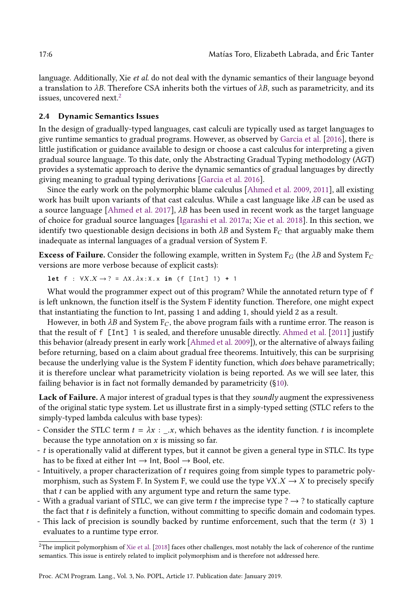language. Additionally, Xie et al. do not deal with the dynamic semantics of their language beyond a translation to  $\lambda B$ . Therefore CSA inherits both the virtues of  $\lambda B$ , such as parametricity, and its issues, uncovered next.<sup>[2](#page-5-0)</sup>

### <span id="page-5-1"></span>2.4 Dynamic Semantics Issues

In the design of gradually-typed languages, cast calculi are typically used as target languages to give runtime semantics to gradual programs. However, as observed by [Garcia et al.](#page-27-3) [\[2016\]](#page-27-3), there is little justification or guidance available to design or choose a cast calculus for interpreting a given gradual source language. To this date, only the Abstracting Gradual Typing methodology (AGT) provides a systematic approach to derive the dynamic semantics of gradual languages by directly giving meaning to gradual typing derivations [\[Garcia et al. 2016\]](#page-27-3).

Since the early work on the polymorphic blame calculus [\[Ahmed et al.](#page-27-19) [2009,](#page-27-19) [2011\]](#page-27-13), all existing work has built upon variants of that cast calculus. While a cast language like  $\lambda B$  can be used as a source language [\[Ahmed et al.](#page-27-14) [2017\]](#page-27-14),  $\lambda B$  has been used in recent work as the target language of choice for gradual source languages [\[Igarashi et al.](#page-27-15) [2017a;](#page-27-15) [Xie et al.](#page-29-2) [2018\]](#page-29-2). In this section, we identify two questionable design decisions in both  $\lambda B$  and System F<sub>C</sub> that arguably make them inadequate as internal languages of a gradual version of System F.

**Excess of Failure.** Consider the following example, written in System  $F_G$  (the  $\lambda B$  and System  $F_C$ versions are more verbose because of explicit casts):

**let**  $f : \forall X.X \rightarrow ? = \Lambda X.\lambda x:X.x \text{ in } (f \text{ [Int] 1}) + 1$ 

What would the programmer expect out of this program? While the annotated return type of f is left unknown, the function itself is the System F identity function. Therefore, one might expect that instantiating the function to Int, passing 1 and adding 1, should yield 2 as a result.

However, in both  $\lambda B$  and System F<sub>C</sub>, the above program fails with a runtime error. The reason is that the result of f [Int] 1 is sealed, and therefore unusable directly. [Ahmed et al.](#page-27-13) [\[2011\]](#page-27-13) justify this behavior (already present in early work [\[Ahmed et al.](#page-27-19) [2009\]](#page-27-19)), or the alternative of always failing before returning, based on a claim about gradual free theorems. Intuitively, this can be surprising because the underlying value is the System F identity function, which does behave parametrically; it is therefore unclear what parametricity violation is being reported. As we will see later, this failing behavior is in fact not formally demanded by parametricity ([ğ10\)](#page-23-0).

Lack of Failure. A major interest of gradual types is that they soundly augment the expressiveness of the original static type system. Let us illustrate first in a simply-typed setting (STLC refers to the simply-typed lambda calculus with base types):

- Consider the STLC term  $t = \lambda x$  : .x, which behaves as the identity function. t is incomplete because the type annotation on  $x$  is missing so far.
- t is operationally valid at different types, but it cannot be given a general type in STLC. Its type has to be fixed at either  $Int \rightarrow Int$ , Bool  $\rightarrow$  Bool, etc.
- Intuitively, a proper characterization of t requires going from simple types to parametric polymorphism, such as System F. In System F, we could use the type  $\forall X.X \rightarrow X$  to precisely specify that  $t$  can be applied with any argument type and return the same type.
- With a gradual variant of STLC, we can give term t the imprecise type ?  $\rightarrow$  ? to statically capture the fact that  $t$  is definitely a function, without committing to specific domain and codomain types.
- This lack of precision is soundly backed by runtime enforcement, such that the term  $(t 3)$  1 evaluates to a runtime type error.

<span id="page-5-0"></span><sup>&</sup>lt;sup>2</sup>The implicit polymorphism of [Xie et al.](#page-29-2) [\[2018\]](#page-29-2) faces other challenges, most notably the lack of coherence of the runtime semantics. This issue is entirely related to implicit polymorphism and is therefore not addressed here.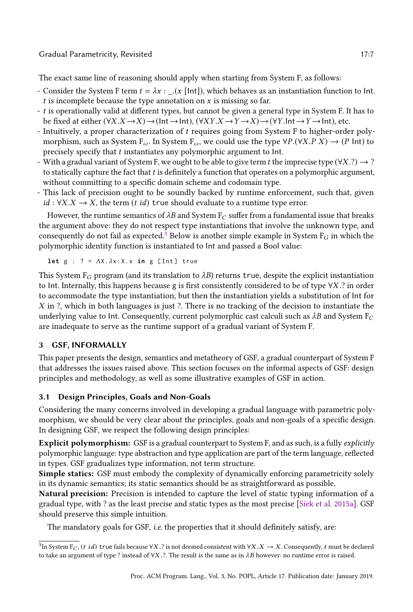Gradual Parametricity, Revisited 17:7

The exact same line of reasoning should apply when starting from System F, as follows:

- Consider the System F term  $t = \lambda x$  :  $(x \text{[Int]}),$  which behaves as an instantiation function to Int. t is incomplete because the type annotation on  $x$  is missing so far.
- t is operationally valid at different types, but cannot be given a general type in System F. It has to be fixed at either  $(\forall X.X \rightarrow X) \rightarrow (Int \rightarrow Int)$ ,  $(\forall XY.X \rightarrow Y \rightarrow X) \rightarrow (\forall Y. Int \rightarrow Y \rightarrow Int)$ , etc.
- Intuitively, a proper characterization of t requires going from System F to higher-order polymorphism, such as System  $F_{\omega}$ . In System  $F_{\omega}$ , we could use the type  $\forall P.(\forall X.P X) \rightarrow (P \text{ Int})$  to precisely specify that t instantiates any polymorphic argument to Int.
- With a gradual variant of System F, we ought to be able to give term t the imprecise type ( $\forall X$ .?)  $\rightarrow$  ? to statically capture the fact that t is definitely a function that operates on a polymorphic argument, without committing to a specific domain scheme and codomain type.
- This lack of precision ought to be soundly backed by runtime enforcement, such that, given  $id : \forall X.X \rightarrow X$ , the term (*t id*) true should evaluate to a runtime type error.

However, the runtime semantics of  $\lambda B$  and System F<sub>C</sub> suffer from a fundamental issue that breaks the argument above: they do not respect type instantiations that involve the unknown type, and consequently do not fail as expected.<sup>[3](#page-6-1)</sup> Below is another simple example in System  $F_G$  in which the polymorphic identity function is instantiated to Int and passed a Bool value:

**let**  $g : ? = \Lambda X \cdot \lambda x : X \cdot x$  **in**  $g$  [Int] true

This System F<sub>G</sub> program (and its translation to  $\lambda B$ ) returns true, despite the explicit instantiation to Int. Internally, this happens because g is first consistently considered to be of type  $\forall X$ .? in order to accommodate the type instantiation, but then the instantiation yields a substitution of Int for  $X$  in ?, which in both languages is just ?. There is no tracking of the decision to instantiate the underlying value to Int. Consequently, current polymorphic cast calculi such as  $\lambda B$  and System  $F_C$ are inadequate to serve as the runtime support of a gradual variant of System F.

# <span id="page-6-0"></span>3 GSF, INFORMALLY

This paper presents the design, semantics and metatheory of GSF, a gradual counterpart of System F that addresses the issues raised above. This section focuses on the informal aspects of GSF: design principles and methodology, as well as some illustrative examples of GSF in action.

# 3.1 Design Principles, Goals and Non-Goals

Considering the many concerns involved in developing a gradual language with parametric polymorphism, we should be very clear about the principles, goals and non-goals of a specific design. In designing GSF, we respect the following design principles:

Explicit polymorphism: GSF is a gradual counterpart to System F, and as such, is a fully explicitly polymorphic language: type abstraction and type application are part of the term language, reflected in types. GSF gradualizes type information, not term structure.

Simple statics: GSF must embody the complexity of dynamically enforcing parametricity solely in its dynamic semantics; its static semantics should be as straightforward as possible.

Natural precision: Precision is intended to capture the level of static typing information of a gradual type, with ? as the least precise and static types as the most precise [\[Siek et al.](#page-28-3) [2015a\]](#page-28-3). GSF should preserve this simple intuition.

The mandatory goals for GSF, i.e. the properties that it should definitely satisfy, are:

<span id="page-6-1"></span> $^3$ In System F $_C$ , (t id) true fails because ∀X.? is not deemed consistent with ∀X. $X\to X$ . Consequently, t must be declared to take an argument of type ? instead of ∀X .?. The result is the same as in  $\lambda B$  however: no runtime error is raised.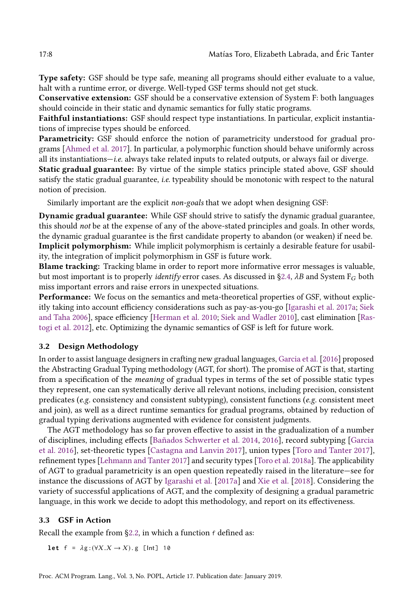Type safety: GSF should be type safe, meaning all programs should either evaluate to a value, halt with a runtime error, or diverge. Well-typed GSF terms should not get stuck.

Conservative extension: GSF should be a conservative extension of System F: both languages should coincide in their static and dynamic semantics for fully static programs.

Faithful instantiations: GSF should respect type instantiations. In particular, explicit instantiations of imprecise types should be enforced.

Parametricity: GSF should enforce the notion of parametricity understood for gradual programs [\[Ahmed et al.](#page-27-14) [2017\]](#page-27-14). In particular, a polymorphic function should behave uniformly across all its instantiations-i.e. always take related inputs to related outputs, or always fail or diverge.

Static gradual guarantee: By virtue of the simple statics principle stated above, GSF should satisfy the static gradual guarantee, i.e. typeability should be monotonic with respect to the natural notion of precision.

Similarly important are the explicit non-goals that we adopt when designing GSF:

Dynamic gradual guarantee: While GSF should strive to satisfy the dynamic gradual guarantee, this should not be at the expense of any of the above-stated principles and goals. In other words, the dynamic gradual guarantee is the first candidate property to abandon (or weaken) if need be. Implicit polymorphism: While implicit polymorphism is certainly a desirable feature for usability, the integration of implicit polymorphism in GSF is future work.

Blame tracking: Tracking blame in order to report more informative error messages is valuable, but most important is to properly *identify* error cases. As discussed in §2.4,  $\lambda B$  and System F<sub>G</sub> both miss important errors and raise errors in unexpected situations.

Performance: We focus on the semantics and meta-theoretical properties of GSF, without explicitly taking into account efficiency considerations such as pay-as-you-go [\[Igarashi et al.](#page-27-15) [2017a;](#page-27-15) [Siek](#page-28-2) [and Taha 2006\]](#page-28-2), space efficiency [\[Herman et al.](#page-27-4) [2010;](#page-27-4) [Siek and Wadler 2010\]](#page-28-14), cast elimination [\[Ras](#page-28-15)[togi et al. 2012\]](#page-28-15), etc. Optimizing the dynamic semantics of GSF is left for future work.

### 3.2 Design Methodology

In order to assist language designers in crafting new gradual languages, [Garcia et al.](#page-27-3) [\[2016\]](#page-27-3) proposed the Abstracting Gradual Typing methodology (AGT, for short). The promise of AGT is that, starting from a specification of the meaning of gradual types in terms of the set of possible static types they represent, one can systematically derive all relevant notions, including precision, consistent predicates (e.g. consistency and consistent subtyping), consistent functions (e.g. consistent meet and join), as well as a direct runtime semantics for gradual programs, obtained by reduction of gradual typing derivations augmented with evidence for consistent judgments.

The AGT methodology has so far proven effective to assist in the gradualization of a number of disciplines, including effects [\[Bañados Schwerter et al.](#page-27-5) [2014,](#page-27-5) [2016\]](#page-27-6), record subtyping [\[Garcia](#page-27-3) [et al.](#page-27-3) [2016\]](#page-27-3), set-theoretic types [\[Castagna and Lanvin 2017\]](#page-27-11), union types [\[Toro and Tanter 2017\]](#page-28-16), refinement types [\[Lehmann and Tanter 2017\]](#page-28-8) and security types [\[Toro et al.](#page-28-7) [2018a\]](#page-28-7). The applicability of AGT to gradual parametricity is an open question repeatedly raised in the literature–see for instance the discussions of AGT by [Igarashi et al.](#page-27-15) [\[2017a\]](#page-27-15) and [Xie et al.](#page-29-2) [\[2018\]](#page-29-2). Considering the variety of successful applications of AGT, and the complexity of designing a gradual parametric language, in this work we decide to adopt this methodology, and report on its effectiveness.

### 3.3 GSF in Action

Recall the example from §2.2, in which a function  $f$  defined as:

**let**  $f = \lambda g: (\forall X . X \rightarrow X) . g$  [lnt] 10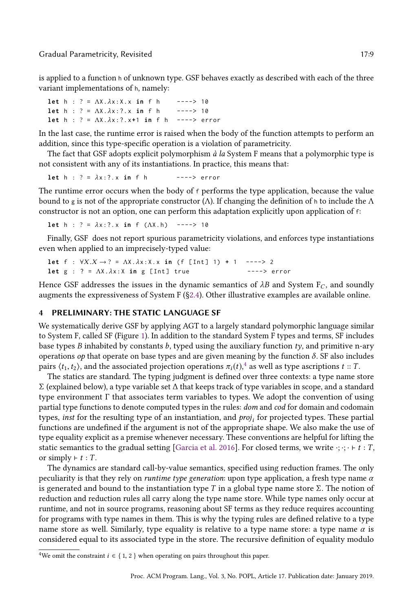#### Gradual Parametricity, Revisited 17:9

is applied to a function h of unknown type. GSF behaves exactly as described with each of the three variant implementations of h, namely:

```
let h : ? = ΛX.λx:X.x in f h ----> 10
let h : ? = ΛX.λx :?. x in f h ----> 10
let h : ? = ΛX.λx :?. x+1 in f h ----> error
```
In the last case, the runtime error is raised when the body of the function attempts to perform an addition, since this type-specific operation is a violation of parametricity.

The fact that GSF adopts explicit polymorphism  $\dot{a}$  la System F means that a polymorphic type is not consistent with any of its instantiations. In practice, this means that:

**let**  $h : ? = \lambda x : ? . x$  **in** f  $h$  ----> error

The runtime error occurs when the body of f performs the type application, because the value bound to g is not of the appropriate constructor ( $Λ$ ). If changing the definition of h to include the  $Λ$ constructor is not an option, one can perform this adaptation explicitly upon application of f:

**let** h : ? = λx :?. x **in** f (ΛX.h) ----> 10

Finally, GSF does not report spurious parametricity violations, and enforces type instantiations even when applied to an imprecisely-typed value:

**let**  $f : \forall X.X \to ? = \Lambda X.\lambda x:X.x \text{ in } (f [Int] 1) + 1$  ----> 2 **let** g : ? = ΛΧ.λx: X **in** g [Int] true ----> error

Hence GSF addresses the issues in the dynamic semantics of  $\lambda B$  and System  $F_C$ , and soundly augments the expressiveness of System F ([ğ2.4\)](#page-5-1). Other illustrative examples are available online.

## <span id="page-8-0"></span>4 PRELIMINARY: THE STATIC LANGUAGE SF

We systematically derive GSF by applying AGT to a largely standard polymorphic language similar to System F, called SF (Figure [1\)](#page-9-0). In addition to the standard System F types and terms, SF includes base types B inhabited by constants b, typed using the auxiliary function  $ty$ , and primitive n-ary operations *op* that operate on base types and are given meaning by the function  $\delta$ . SF also includes pairs  $\langle t_1,t_2\rangle,$  and the associated projection operations  $\pi_i(t),^4$  $\pi_i(t),^4$  as well as type ascriptions  $t::T.$ 

The statics are standard. The typing judgment is defined over three contexts: a type name store Σ (explained below), a type variable set ∆ that keeps track of type variables in scope, and a standard type environment Γ that associates term variables to types. We adopt the convention of using partial type functions to denote computed types in the rules: dom and cod for domain and codomain types, *inst* for the resulting type of an instantiation, and  $proj_i$  for projected types. These partial functions are undefined if the argument is not of the appropriate shape. We also make the use of type equality explicit as a premise whenever necessary. These conventions are helpful for lifting the static semantics to the gradual setting [\[Garcia et al.](#page-27-3) [2016\]](#page-27-3). For closed terms, we write  $\cdot$ ;  $\cdot \cdot \cdot \cdot t : T$ , or simply  $\vdash t : T$ .

The dynamics are standard call-by-value semantics, specified using reduction frames. The only peculiarity is that they rely on *runtime type generation*: upon type application, a fresh type name  $\alpha$ is generated and bound to the instantiation type T in a global type name store  $\Sigma$ . The notion of reduction and reduction rules all carry along the type name store. While type names only occur at runtime, and not in source programs, reasoning about SF terms as they reduce requires accounting for programs with type names in them. This is why the typing rules are defined relative to a type name store as well. Similarly, type equality is relative to a type name store: a type name  $\alpha$  is considered equal to its associated type in the store. The recursive definition of equality modulo

<span id="page-8-1"></span><sup>&</sup>lt;sup>4</sup>We omit the constraint  $i \in \{1, 2\}$  when operating on pairs throughout this paper.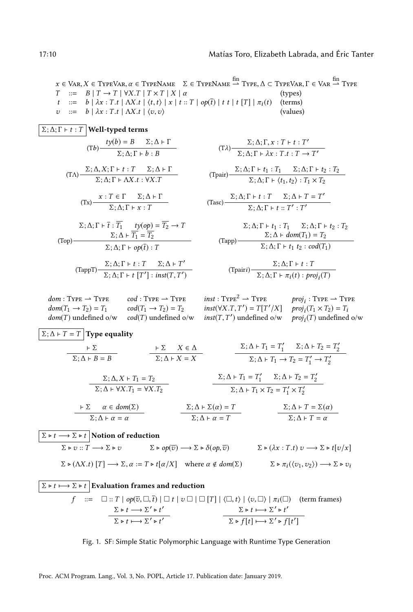$\pi$   $\sim$   $\pi$ 

<span id="page-9-0"></span> $x \in \text{Var}, X \in \text{TypeVar}, \alpha \in \text{TypeName} \quad \Sigma \in \text{TypeName} \stackrel{\text{fin}}{\rightharpoonup} \text{TypeE} \land \subset \text{TypeVar}, \Gamma \in \text{Var} \stackrel{\text{fin}}{\rightharpoonup} \text{TypeE}$  $T \ ::= B | T \rightarrow T | \forall X . T | T \times T | X | \alpha$  (types)  $t$  ::= b |  $\lambda x : T.t$  |  $\Delta X.t$  |  $\langle t, t \rangle$  |  $x$  |  $t : T$  |  $op(\overline{t})$  |  $t$   $t$  |  $t$  [T] |  $\pi_i(t)$  (terms)  $v := b | \lambda x : T.t | \Delta X.t | \langle v, v \rangle$  (values)

$$
\boxed{\Sigma; \Delta; \Gamma \vdash t : T}
$$
 Well-typeed terms  
\n
$$
(Tb) \frac{ty(b) = B \quad \Sigma; \Delta \vdash \Gamma}{\Sigma; \Delta; \Gamma \vdash b : B}
$$
\n
$$
(T\Delta) \frac{\Sigma; \Delta, X; \Gamma \vdash t : T \quad \Sigma; \Delta \vdash \Gamma}{\Sigma; \Delta; \Gamma \vdash \Delta X. t : \forall X. T}
$$
\n
$$
(Tx) \frac{x : T \in \Gamma \quad \Sigma; \Delta \vdash \Gamma}{\Sigma; \Delta; \Gamma \vdash x : T}
$$
\n
$$
\Sigma; \Delta; \Gamma \vdash \overline{t} : \overline{T_1} \quad ty(op) = \overline{T_2} \rightarrow T
$$
\n
$$
(Top) \frac{\Sigma; \Delta \vdash \overline{T_1} = \overline{T_2}}{\Sigma; \Delta; \Gamma \vdash op(\overline{t}) : T}
$$
\n
$$
(TappT) \frac{\Sigma; \Delta; \Gamma \vdash t : T \quad \Sigma; \Delta \vdash T'}{\Sigma; \Delta; \Gamma \vdash t : T \quad \Sigma; \Delta \vdash T'}
$$

$$
(T\lambda) \frac{\Sigma; \Delta; \Gamma, x : T \vdash t : T'}{\Sigma; \Delta; \Gamma \vdash \lambda x : T \vdash t : T \rightarrow T'}
$$
\n
$$
(T\text{pair}) \frac{\Sigma; \Delta; \Gamma \vdash t_1 : T_1 \quad \Sigma; \Delta; \Gamma \vdash t_2 : T_2}{\Sigma; \Delta; \Gamma \vdash \langle t_1, t_2 \rangle : T_1 \times T_2}
$$

$$
(\text{Tasc}) \frac{\Sigma; \Delta; \Gamma \vdash t : T \quad \Sigma; \Delta \vdash T = T'}{\Sigma; \Delta; \Gamma \vdash t :: T' : T'}
$$

$$
\sum; \Delta; \Gamma \vdash t_1 : T_1 \quad \Sigma; \Delta; \Gamma \vdash t_2 : T_2
$$

$$
\sum; \Delta \vdash dom(T_1) = T_2
$$

$$
\sum; \Delta; \Gamma \vdash t_1 \ t_2 : cod(T_1)
$$

$$
(\text{Tpairi})\frac{\Sigma;\Delta;\Gamma\vdash t:T}{\Sigma;\Delta;\Gamma\vdash \pi_i(t):proj_i(T)}
$$

 $dom(T_1 \rightarrow T_2) = T_1$  $dom(T)$  undefined o/w  $cod(T)$  undefined o/w  $inst(T, T')$  undefined o/w  $proj_i(T)$  undefined o/w

 $\Sigma$ ;  $\Delta$ ;  $\Gamma$   $\vdash$   $t$   $[T']$  :  $inst(T, T')$ 

 $dom: \text{Type} \longrightarrow \text{Type}$   $cod: \text{Type} \longrightarrow \text{Type}$   $inst: \text{Type}^2 \longrightarrow \text{Type}$   $proj_i: \text{Type} \longrightarrow \text{Type}$  $cod(T_1 \rightarrow T_2) = T_2$   $inst(\forall X.T, T') = T[T'/X]$   $proj_i(T_1 \times T_2) = T_i$ 

$$
\Sigma; \Delta \vdash T = T \text{ Type equality}
$$
\n
$$
\frac{\vdash \Sigma \qquad \vdash \Sigma \qquad \vdash \Sigma \qquad X \in \Delta}{\Sigma; \Delta \vdash B = B} \qquad \frac{\vdash \Sigma \qquad X \in \Delta}{\Sigma; \Delta \vdash X = X} \qquad \frac{\Sigma; \Delta \vdash T_1 = T_1' \qquad \Sigma; \Delta \vdash T_2 = T_2'}{\Sigma; \Delta \vdash T_1 \to T_2 = T_1' \to T_2'}
$$
\n
$$
\frac{\Sigma; \Delta, X \vdash T_1 = T_2}{\Sigma; \Delta \vdash \forall X. T_1 = \forall X. T_2} \qquad \frac{\Sigma; \Delta \vdash T_1 = T_1' \qquad \Sigma; \Delta \vdash T_2 = T_2'}{\Sigma; \Delta \vdash T_1 \times T_2 = T_1' \times T_2'}
$$
\n
$$
\frac{\vdash \Sigma \qquad \alpha \in dom(\Sigma)}{\Sigma; \Delta \vdash \alpha = \alpha} \qquad \frac{\Sigma; \Delta \vdash \Sigma(\alpha) = T}{\Sigma; \Delta \vdash \alpha = T} \qquad \frac{\Sigma; \Delta \vdash T = \Sigma(\alpha)}{\Sigma; \Delta \vdash T = \alpha}
$$
\n
$$
\frac{\Sigma \vdash t \to \Sigma \vdash t}{\Sigma \vdash U; \Gamma \vdash \neg \Sigma \vdash v} \qquad \Sigma \vdash op(\overline{v}) \to \Sigma \vdash \delta(op, \overline{v})} \qquad \Sigma \vdash (\lambda x : T.t) \quad v \to \Sigma \vdash t[v/x]
$$
\n
$$
\Sigma \vdash (\Lambda X.t) [T] \to \Sigma, \alpha := T \vdash t[\alpha/X] \quad \text{where } \alpha \notin dom(\Sigma) \qquad \Sigma \vdash \pi_i(\langle v_1, v_2 \rangle) \to \Sigma \vdash v_i
$$

$$
\frac{\Sigma \triangleright t \longmapsto \Sigma \triangleright t}{f} \xrightarrow{\equiv} \Box :: T \mid op(\overline{v}, \Box, \overline{t}) \mid \Box t \mid v \Box \mid \Box [T] \mid \langle \Box, t \rangle \mid \langle v, \Box \rangle \mid \pi_i(\Box) \quad \text{(term frames)}
$$
\n
$$
\frac{\Sigma \triangleright t \longrightarrow \Sigma' \triangleright t'}{\Sigma \triangleright t \longmapsto \Sigma' \triangleright t'} \xrightarrow{\sum \triangleright f \longmapsto \Sigma' \triangleright f'}
$$

Fig. 1. SF: Simple Static Polymorphic Language with Runtime Type Generation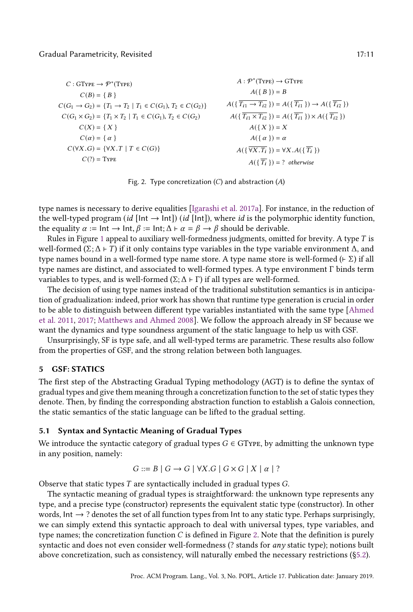<span id="page-10-1"></span> $C:GType \rightarrow \mathcal{P}^*(Type)$  $C(B) = \{ B \}$  $C(G_1 \to G_2) = \{T_1 \to T_2 \mid T_1 \in C(G_1), T_2 \in C(G_2)\}\$  $C(G_1 \times G_2) = \{T_1 \times T_2 \mid T_1 \in C(G_1), T_2 \in C(G_2)\}$  $C(X) = \{ X \}$  $C(\alpha) = \{\alpha\}$  $C(\forall X. G) = {\forall X. T | T \in C(G)}$  $C(?)$  = Type  $A: \mathcal{P}^*(\text{Type}) \to \text{GType}$  $A(\{B\})=B$  $A(\{\overline{T_{i1} \rightarrow T_{i2}}\}) = A(\{\overline{T_{i1}}\}) \rightarrow A(\{\overline{T_{i2}}\})$  $A(\{\overline{T_{i1} \times T_{i2}}\}) = A(\{\overline{T_{i1}}\}) \times A(\{\overline{T_{i2}}\})$  $A({X}) = X$  $A(\{\alpha\}) = \alpha$  $A(\{\overline{\forall X}.T_i\}) = \forall X.A(\{\overline{T_i}\})$  $A(\{\overline{T_i}\})=$ ? otherwise

Fig. 2. Type concretization  $(C)$  and abstraction  $(A)$ 

type names is necessary to derive equalities [\[Igarashi et al.](#page-27-15) [2017a\]](#page-27-15). For instance, in the reduction of the well-typed program (id [Int  $\rightarrow$  Int]) (id [Int]), where id is the polymorphic identity function, the equality  $\alpha := \text{Int} \rightarrow \text{Int}, \beta := \text{Int}; \Delta \vdash \alpha = \beta \rightarrow \beta$  should be derivable.

Rules in Figure [1](#page-9-0) appeal to auxiliary well-formedness judgments, omitted for brevity. A type  $T$  is well-formed (Σ;  $Δ$  ⊢ T) if it only contains type variables in the type variable environment  $Δ$ , and type names bound in a well-formed type name store. A type name store is well-formed ( $\vdash \Sigma$ ) if all type names are distinct, and associated to well-formed types. A type environment Γ binds term variables to types, and is well-formed  $(Σ; Δ ⊢ Γ)$  if all types are well-formed.

The decision of using type names instead of the traditional substitution semantics is in anticipation of gradualization: indeed, prior work has shown that runtime type generation is crucial in order to be able to distinguish between different type variables instantiated with the same type [\[Ahmed](#page-27-13) [et al.](#page-27-13) [2011,](#page-27-13) [2017;](#page-27-14) [Matthews and Ahmed 2008\]](#page-28-17). We follow the approach already in SF because we want the dynamics and type soundness argument of the static language to help us with GSF.

Unsurprisingly, SF is type safe, and all well-typed terms are parametric. These results also follow from the properties of GSF, and the strong relation between both languages.

# <span id="page-10-0"></span>5 GSF: STATICS

The first step of the Abstracting Gradual Typing methodology (AGT) is to define the syntax of gradual types and give them meaning through a concretization function to the set of static types they denote. Then, by finding the corresponding abstraction function to establish a Galois connection, the static semantics of the static language can be lifted to the gradual setting.

### 5.1 Syntax and Syntactic Meaning of Gradual Types

We introduce the syntactic category of gradual types  $G \in G$ Type, by admitting the unknown type in any position, namely:

$$
G ::= B | G \rightarrow G | \forall X . G | G \times G | X | \alpha | ?
$$

Observe that static types T are syntactically included in gradual types G.

The syntactic meaning of gradual types is straightforward: the unknown type represents any type, and a precise type (constructor) represents the equivalent static type (constructor). In other words, Int  $\rightarrow$  ? denotes the set of all function types from Int to any static type. Perhaps surprisingly, we can simply extend this syntactic approach to deal with universal types, type variables, and type names; the concretization function  $C$  is defined in Figure [2.](#page-10-1) Note that the definition is purely syntactic and does not even consider well-formedness (? stands for *any* static type); notions built above concretization, such as consistency, will naturally embed the necessary restrictions ([ğ5.2\)](#page-11-0).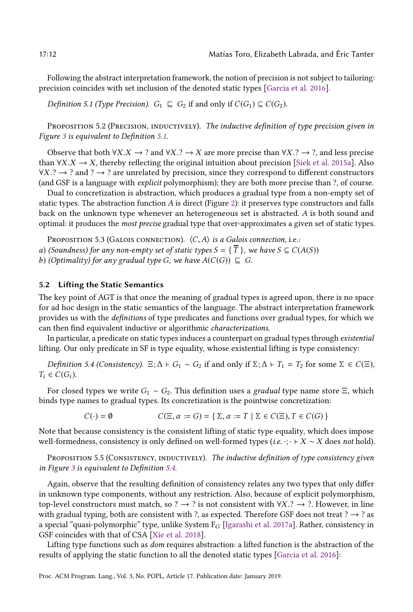Following the abstract interpretation framework, the notion of precision is not subject to tailoring: precision coincides with set inclusion of the denoted static types [\[Garcia et al. 2016\]](#page-27-3).

<span id="page-11-1"></span>Definition 5.1 (Type Precision).  $G_1 \subseteq G_2$  if and only if  $C(G_1) \subseteq C(G_2)$ .

PROPOSITION 5.2 (PRECISION, INDUCTIVELY). The inductive definition of type precision given in Figure [3](#page-12-0) is equivalent to Definition [5.1.](#page-11-1)

Observe that both  $\forall X.X \rightarrow ?$  and  $\forall X.? \rightarrow X$  are more precise than  $\forall X.? \rightarrow ?$  and less precise than  $\forall X.X \rightarrow X$ , thereby reflecting the original intuition about precision [\[Siek et al.](#page-28-3) [2015a\]](#page-28-3). Also  $\forall X. ? \rightarrow ?$  and ?  $\rightarrow ?$  are unrelated by precision, since they correspond to different constructors (and GSF is a language with explicit polymorphism); they are both more precise than ?, of course.

Dual to concretization is abstraction, which produces a gradual type from a non-empty set of static types. The abstraction function  $A$  is direct (Figure [2\)](#page-10-1): it preserves type constructors and falls back on the unknown type whenever an heterogeneous set is abstracted. A is both sound and optimal: it produces the most precise gradual type that over-approximates a given set of static types.

PROPOSITION 5.3 (GALOIS CONNECTION).  $\langle C, A \rangle$  is a Galois connection, i.e.:

a) (Soundness) for any non-empty set of static types  $S = {\overline{T}}$ , we have  $S \subseteq C(A(S))$ 

b) (Optimality) for any gradual type G, we have  $A(C(G)) \subseteq G$ .

### <span id="page-11-0"></span>5.2 Lifting the Static Semantics

The key point of AGT is that once the meaning of gradual types is agreed upon, there is no space for ad hoc design in the static semantics of the language. The abstract interpretation framework provides us with the definitions of type predicates and functions over gradual types, for which we can then find equivalent inductive or algorithmic characterizations.

In particular, a predicate on static types induces a counterpart on gradual types through existential lifting. Our only predicate in SF is type equality, whose existential lifting is type consistency:

<span id="page-11-2"></span>Definition 5.4 (Consistency).  $\Xi$ ;  $\Delta \vdash G_1 \sim G_2$  if and only if  $\Sigma$ ;  $\Delta \vdash T_1 = T_2$  for some  $\Sigma \in C(\Xi)$ ,  $T_i \in C(G_i)$ .

For closed types we write  $G_1 \sim G_2$ . This definition uses a gradual type name store  $\Xi$ , which binds type names to gradual types. Its concretization is the pointwise concretization:

$$
C(\cdot) = \emptyset \qquad \qquad C(\Xi, \alpha := G) = \{ \Sigma, \alpha := T \mid \Sigma \in C(\Xi), T \in C(G) \}
$$

Note that because consistency is the consistent lifting of static type equality, which does impose well-formedness, consistency is only defined on well-formed types (i.e.  $\cdot$ ;  $\cdot \cdot \cdot$  X  $\sim$  X does not hold).

PROPOSITION 5.5 (CONSISTENCY, INDUCTIVELY). The inductive definition of type consistency given in Figure [3](#page-12-0) is equivalent to Definition [5.4.](#page-11-2)

Again, observe that the resulting definition of consistency relates any two types that only differ in unknown type components, without any restriction. Also, because of explicit polymorphism, top-level constructors must match, so ?  $\rightarrow$  ? is not consistent with  $\forall X$ .?  $\rightarrow$  ?. However, in line with gradual typing, both are consistent with ?, as expected. Therefore GSF does not treat ?  $\rightarrow$  ? as a special "quasi-polymorphic" type, unlike System  $F_G$  [\[Igarashi et al.](#page-27-15) [2017a\]](#page-27-15). Rather, consistency in GSF coincides with that of CSA [\[Xie et al. 2018\]](#page-29-2).

Lifting type functions such as dom requires abstraction: a lifted function is the abstraction of the results of applying the static function to all the denoted static types [\[Garcia et al. 2016\]](#page-27-3):

Proc. ACM Program. Lang., Vol. 3, No. POPL, Article 17. Publication date: January 2019.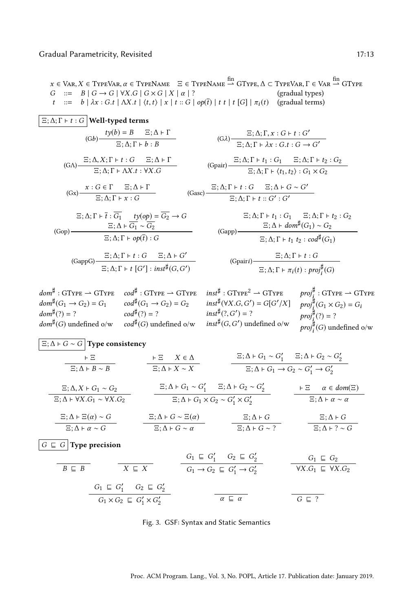<span id="page-12-0"></span> $x \in \text{Var}, X \in \text{TypeVar}, \alpha \in \text{TypeName} \quad \Xi \in \text{TypeName} \stackrel{\text{fin}}{\rightharpoonup} \text{GTypeVar}, \Delta \subset \text{TypeVar}, \Gamma \in \text{Var} \stackrel{\text{fin}}{\rightharpoonup} \text{GType}}$  $G \cong B \mid G \to G \mid \forall X . G \mid G \times G \mid X \mid \alpha \mid ?$  (gradual types)  $t$  ::= b |  $\lambda x : G.t$  |  $\Lambda X.t$  |  $\langle t, t \rangle | x | t : G | op(\overline{t}) | t t | t [G] | \pi_i(t)$  (gradual terms)

$$
\frac{\Xi; \Delta; \Gamma \vdash t : G}{\Theta} \text{Well-typeed terms}
$$
\n
$$
(Gb) \frac{ty(b) = B \quad \Xi; \Delta \vdash \Gamma}{\Xi; \Delta; \Gamma \vdash b : B}
$$
\n
$$
(Gc) \frac{\Xi; \Delta; \Gamma, x : G + t : G'}{\Xi; \Delta; \Gamma \vdash \Delta x : G. t : G \rightarrow G'}
$$
\n
$$
(Gd) \frac{\Xi; \Delta; \Gamma \vdash t : G \quad \Xi; \Delta \vdash \Gamma}{\Xi; \Delta; \Gamma \vdash \Delta x : t : \forall X . G}
$$
\n
$$
(Ge)^{\Delta} \frac{\Xi; \Delta; \Gamma \vdash t : G \quad \Xi; \Delta \vdash \Gamma}{\Xi; \Delta; \Gamma \vdash \Delta x : t : \forall X . G}
$$
\n
$$
(Ge)^{\Delta} \frac{x : G \in \Gamma \quad \Xi; \Delta \vdash \Gamma}{\Xi; \Delta; \Gamma \vdash x : G}
$$
\n
$$
(Gc)^{\Delta} \frac{x : G \in \Gamma \quad \Xi; \Delta \vdash \Gamma}{\Xi; \Delta; \Gamma \vdash x : G}
$$
\n
$$
(Gc)^{\Delta} \frac{\Xi; \Delta; \Gamma \vdash t : G}{\Xi; \Delta; \Gamma \vdash x : G}
$$
\n
$$
(Gc)^{\Delta} \frac{\Xi; \Delta; \Gamma \vdash t : G_1 \quad ty(op) = \overline{G_2} \rightarrow G}{\Xi; \Delta \vdash \overline{G_1} \sim \overline{G_2}}
$$
\n
$$
(Gapp) \frac{\Xi; \Delta \vdash \overline{G_1} \quad ty(op) = \overline{G_2} \rightarrow G}{\Xi; \Delta; \Gamma \vdash t : G \quad \Xi; \Delta \vdash dom^{\sharp}(G_1) \sim G_2}
$$
\n
$$
(Gapp) \frac{\Xi; \Delta; \Gamma \vdash t : G \quad \Xi; \Delta \vdash G'}{\Xi; \Delta; \Gamma \vdash t : G \quad \Xi; \Delta; \Gamma \vdash t : G \quad \Xi; \Delta; \Gamma \vdash t : G}{\Xi; \Delta; \Gamma \vdash t : G \quad \Xi; \Delta; \Gamma \vdash t : G \quad \Xi; \Delta; \Gamma \vdash t : G \quad \Xi; \Delta; \Gamma \vdash t : G \quad \Xi; \Delta; \Gamma \vdash t : G \quad \Xi; \Delta; \Gamma \vdash t :
$$

 $dom^{\sharp}:GType \rightarrow GType \quad cod^{\sharp}:GType \rightarrow GType \quad inst^{\sharp}:GType^2 \rightarrow GType$  $dom^{\sharp}(G_1 \rightarrow G_2) = G_1$  $dom^{\sharp}(?) = ?$  $\textit{dom}^{\sharp}(G)$  undefined o/w  $cod^{\sharp}(G_1 \rightarrow G_2) = G_2$  $cod^{\sharp}(?) = ?$  $cod^{\sharp}(G)$  undefined o/w  $inst^{\sharp}(\forall X.G, G') = G[G'/X]$  $inst^{\sharp}(?, G') = ?$  $inst^{\sharp}(G, G')$  undefined o/w  $\textit{proj}^\sharp_i : \text{GType} \rightharpoonup \text{GType}$  $proj_i^{\sharp}(G_1 \times G_2) = G_i$  $proj_i^{\sharp}(?) = ?$  $\mathit{proj}^{\sharp}_{i}(G)$  undefined o/w

| $\boxed{E; \Delta + G \sim G}$ Type consistency                |                                    |                               |                               |                       |
|----------------------------------------------------------------|------------------------------------|-------------------------------|-------------------------------|-----------------------|
| $\vdash \Xi$                                                   | $\vdash \Xi$                       | $X \in \Delta$                |                               |                       |
| $\Xi; \Delta + B \sim B$                                       | $\vdash \Xi$                       | $X \in \Delta$                |                               |                       |
| $\Xi; \Delta + B \sim B$                                       | $\Xi; \Delta + X \sim X$           |                               |                               |                       |
| $\Xi; \Delta + B \sim B$                                       | $\Xi; \Delta + X \sim X$           |                               |                               |                       |
| $\Xi; \Delta + G_1 \rightarrow G_2 \sim G'_1 \rightarrow G'_2$ |                                    |                               |                               |                       |
| $\Xi; \Delta + \forall X. G_1 \sim \forall X. G_2$             | $\Xi; \Delta + G_1 \sim G'_1$      | $\Xi; \Delta + G_2 \sim G'_2$ | $\vdash \Xi$                  | $\alpha \in dom(\Xi)$ |
| $\Xi; \Delta + \Xi(\alpha) \sim G$                             | $\Xi; \Delta + G \sim \Xi(\alpha)$ | $\Xi; \Delta + G$             | $\Xi; \Delta + G \sim \alpha$ |                       |
| $\Xi; \Delta + \alpha \sim G$                                  | $\Xi; \Delta + G \sim \alpha$      | $\Xi; \Delta + G \sim ?$      | $\Xi; \Delta + G \sim ?$      |                       |

 $\boxed{G \subseteq G}$  Type precision

$$
B \subseteq B
$$
\n
$$
X \subseteq X
$$
\n
$$
G_1 \subseteq G'_1
$$
\n
$$
G_2 \subseteq G'_2
$$
\n
$$
G_3 \subseteq G'_1
$$
\n
$$
G_4 \subseteq G'_1
$$
\n
$$
G_5 \subseteq G'_2
$$
\n
$$
G_1 \subseteq G'_1
$$
\n
$$
G_2 \subseteq G'_2
$$
\n
$$
G_1 \subseteq G'_1 \times G'_2
$$
\n
$$
G_2 \subseteq G'_1 \times G'_2
$$
\n
$$
G_3 \subseteq G'_1 \times G'_2
$$
\n
$$
G_4 \subseteq G'_1
$$
\n
$$
G_5 \subseteq G'_1
$$

Fig. 3. GSF: Syntax and Static Semantics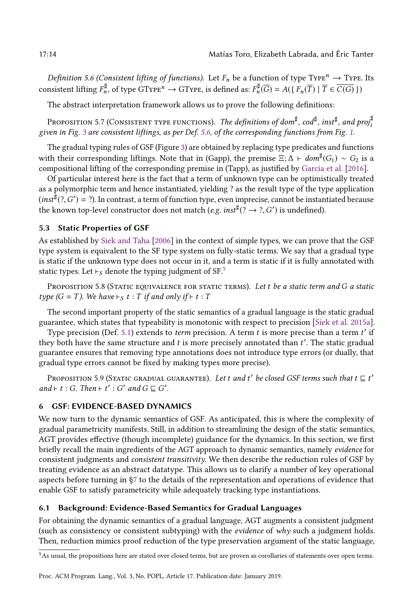<span id="page-13-1"></span>Definition 5.6 (Consistent lifting of functions). Let  $F_n$  be a function of type Type<sup>n</sup>  $\rightarrow$  Type. Its consistent lifting  $F_n^{\sharp}$ , of type GTyp $\mathrm{E}^n \to \mathrm{GType}$ , is defined as:  $F_n^{\sharp}(\overline{G}) = A(\{F_n(\overline{T}) \mid \overline{T} \in \overline{C(G)}\})$ 

The abstract interpretation framework allows us to prove the following definitions:

Proposition 5.7 (Consistent type functions). *The definitions of dom*‡,  $cod$ ‡,  $inst^{\sharp}$ , and  $proj^{\sharp}_i$ given in Fig. [3](#page-12-0) are consistent liftings, as per Def. [5.6,](#page-13-1) of the corresponding functions from Fig. [1.](#page-9-0)

The gradual typing rules of GSF (Figure [3\)](#page-12-0) are obtained by replacing type predicates and functions with their corresponding liftings. Note that in (Gapp), the premise  $\Xi; \Delta \vdash dom^\sharp(G_1) \sim G_2$  is a compositional lifting of the corresponding premise in (Tapp), as justified by [Garcia et al.](#page-27-3) [\[2016\]](#page-27-3).

Of particular interest here is the fact that a term of unknown type can be optimistically treated as a polymorphic term and hence instantiated, yielding ? as the result type of the type application  $(inst^{\frac{1}{2}}(?,G')=?)$ . In contrast, a term of function type, even imprecise, cannot be instantiated because the known top-level constructor does not match (*e.g. inst* $^{\sharp}$ (?  $\rightarrow$  ?, *G'*) is undefined).

### 5.3 Static Properties of GSF

As established by [Siek and Taha](#page-28-2) [\[2006\]](#page-28-2) in the context of simple types, we can prove that the GSF type system is equivalent to the SF type system on fully-static terms. We say that a gradual type is static if the unknown type does not occur in it, and a term is static if it is fully annotated with static types. Let ⊢s denote the typing judgment of SF.<sup>[5](#page-13-2)</sup>

<span id="page-13-4"></span>PROPOSITION 5.8 (STATIC EQUIVALENCE FOR STATIC TERMS). Let t be a static term and G a static type ( $G = T$ ). We have  $\vdash_S t : T$  if and only if  $\vdash t : T$ 

The second important property of the static semantics of a gradual language is the static gradual guarantee, which states that typeability is monotonic with respect to precision [\[Siek et al. 2015a\]](#page-28-3).

Type precision (Def. [5.1\)](#page-11-1) extends to term precision. A term  $t$  is more precise than a term  $t'$  if they both have the same structure and  $t$  is more precisely annotated than  $t'$ . The static gradual guarantee ensures that removing type annotations does not introduce type errors (or dually, that gradual type errors cannot be fixed by making types more precise).

Proposition 5.9 (Static gradual guarantee). Let t and t' be closed GSF terms such that  $t \sqsubseteq t'$  $and \vdash t : G. Then \vdash t' : G' \text{ and } G \sqsubseteq G'.$ 

### <span id="page-13-0"></span>6 GSF: EVIDENCE-BASED DYNAMICS

We now turn to the dynamic semantics of GSF. As anticipated, this is where the complexity of gradual parametricity manifests. Still, in addition to streamlining the design of the static semantics, AGT provides effective (though incomplete) guidance for the dynamics. In this section, we first briefly recall the main ingredients of the AGT approach to dynamic semantics, namely evidence for consistent judgments and consistent transitivity. We then describe the reduction rules of GSF by treating evidence as an abstract datatype. This allows us to clarify a number of key operational aspects before turning in [ğ7](#page-17-0) to the details of the representation and operations of evidence that enable GSF to satisfy parametricity while adequately tracking type instantiations.

### <span id="page-13-3"></span>6.1 Background: Evidence-Based Semantics for Gradual Languages

For obtaining the dynamic semantics of a gradual language, AGT augments a consistent judgment (such as consistency or consistent subtyping) with the evidence of why such a judgment holds. Then, reduction mimics proof reduction of the type preservation argument of the static language,

<span id="page-13-2"></span><sup>5</sup>As usual, the propositions here are stated over closed terms, but are proven as corollaries of statements over open terms.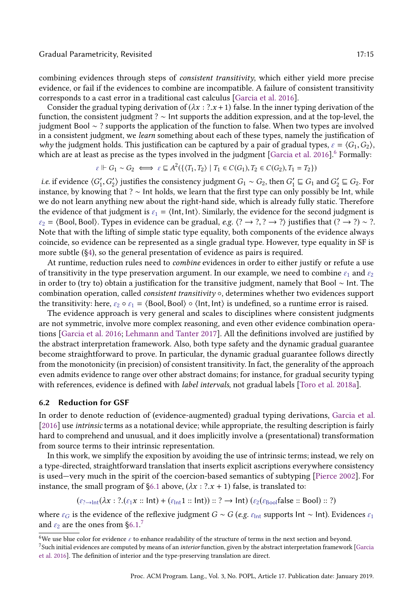#### Gradual Parametricity, Revisited 17:15

combining evidences through steps of consistent transitivity, which either yield more precise evidence, or fail if the evidences to combine are incompatible. A failure of consistent transitivity corresponds to a cast error in a traditional cast calculus [\[Garcia et al. 2016\]](#page-27-3).

Consider the gradual typing derivation of  $(\lambda x : ? .x + 1)$  false. In the inner typing derivation of the function, the consistent judgment ? ∼ Int supports the addition expression, and at the top-level, the judgment Bool ∼ ? supports the application of the function to false. When two types are involved in a consistent judgment, we learn something about each of these types, namely the justification of why the judgment holds. This justification can be captured by a pair of gradual types,  $\varepsilon = \langle G_1, G_2 \rangle$ , which are at least as precise as the types involved in the judgment [\[Garcia et al.](#page-27-3) [2016\]](#page-27-3).<sup>[6](#page-14-0)</sup> Formally:

$$
\varepsilon \Vdash G_1 \sim G_2 \iff \varepsilon \sqsubseteq A^2(\{\langle T_1, T_2 \rangle \mid T_1 \in C(G_1), T_2 \in C(G_2), T_1 = T_2\})
$$

*i.e.* if evidence  $\langle G'_1, G'_2 \rangle$  justifies the consistency judgment  $G_1 \sim G_2$ , then  $G'_1 \sqsubseteq G_1$  and  $G'_2 \sqsubseteq G_2$ . For instance, by knowing that ? ∼ Int holds, we learn that the first type can only possibly be Int, while we do not learn anything new about the right-hand side, which is already fully static. Therefore the evidence of that judgment is  $\varepsilon_1 = \langle \text{Int}, \text{Int} \rangle$ . Similarly, the evidence for the second judgment is  $\varepsilon_2$  =  $\langle$ Bool, Bool $\rangle$ . Types in evidence can be gradual, e.g.  $\langle ? \rightarrow ? \rangle$   $\gamma$  as a  $\langle ? \rightarrow ? \rangle$   $\sim$   $\gamma$ . Note that with the lifting of simple static type equality, both components of the evidence always coincide, so evidence can be represented as a single gradual type. However, type equality in SF is more subtle ([ğ4\)](#page-8-0), so the general presentation of evidence as pairs is required.

At runtime, reduction rules need to combine evidences in order to either justify or refute a use of transitivity in the type preservation argument. In our example, we need to combine  $\varepsilon_1$  and  $\varepsilon_2$ in order to (try to) obtain a justification for the transitive judgment, namely that Bool ∼ Int. The combination operation, called *consistent transitivity*  $\circ$ , determines whether two evidences support the transitivity: here,  $\varepsilon_2 \circ \varepsilon_1 = \langle$  Bool, Bool $\rangle \circ \langle$ Int, Int $\rangle$  is undefined, so a runtime error is raised.

The evidence approach is very general and scales to disciplines where consistent judgments are not symmetric, involve more complex reasoning, and even other evidence combination operations [\[Garcia et al.](#page-27-3) [2016;](#page-27-3) [Lehmann and Tanter 2017\]](#page-28-8). All the definitions involved are justified by the abstract interpretation framework. Also, both type safety and the dynamic gradual guarantee become straightforward to prove. In particular, the dynamic gradual guarantee follows directly from the monotonicity (in precision) of consistent transitivity. In fact, the generality of the approach even admits evidence to range over other abstract domains; for instance, for gradual security typing with references, evidence is defined with *label intervals*, not gradual labels [\[Toro et al. 2018a\]](#page-28-7).

### 6.2 Reduction for GSF

In order to denote reduction of (evidence-augmented) gradual typing derivations, [Garcia et al.](#page-27-3) [\[2016\]](#page-27-3) use intrinsic terms as a notational device; while appropriate, the resulting description is fairly hard to comprehend and unusual, and it does implicitly involve a (presentational) transformation from source terms to their intrinsic representation.

In this work, we simplify the exposition by avoiding the use of intrinsic terms; instead, we rely on a type-directed, straightforward translation that inserts explicit ascriptions everywhere consistency is used—very much in the spirit of the coercion-based semantics of subtyping [\[Pierce 2002\]](#page-28-18). For instance, the small program of §6.1 above,  $(\lambda x : ? .x + 1)$  false, is translated to:

$$
(\varepsilon_{? \to \text{Int}} (\lambda x : ?.(\varepsilon_1 x :: \text{Int}) + (\varepsilon_{\text{Int}} 1 :: \text{Int})) :: ? \to \text{Int}) (\varepsilon_2 (\varepsilon_{\text{Bool}} \text{false} :: \text{Bool}) :: ?)
$$

where  $\varepsilon_G$  is the evidence of the reflexive judgment  $G \sim G$  (e.g.  $\varepsilon_{\text{Int}}$  supports Int ∼ Int). Evidences  $\varepsilon_1$ and  $\varepsilon_2$  are the ones from §6.1.<sup>[7](#page-14-1)</sup>

<span id="page-14-0"></span> $^6\rm{We}$  use blue color for evidence  $\varepsilon$  to enhance readability of the structure of terms in the next section and beyond.

<span id="page-14-1"></span> $^7$ Such initial evidences are computed by means of an interior function, given by the abstract interpretation framework [\[Garcia](#page-27-3) [et al. 2016\]](#page-27-3). The definition of interior and the type-preserving translation are direct.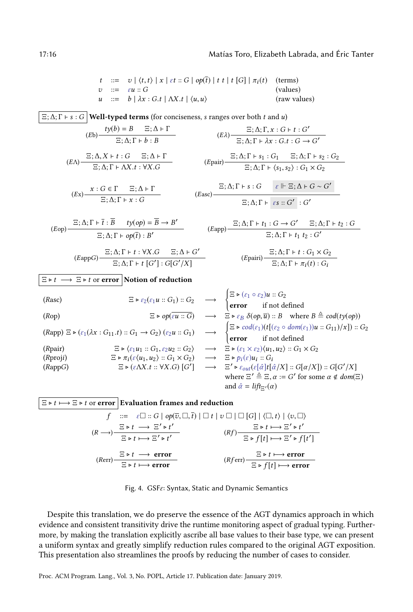$$
t ::= v | \langle t, t \rangle | x | \varepsilon t :: G | op(\overline{t}) | t t | t [G] | \pi_i(t) \quad \text{(terms)}
$$
  
\n
$$
v ::= \varepsilon u :: G \quad \text{(values)}
$$
  
\n
$$
u ::= b | \lambda x : G.t | \Delta X.t | \langle u, u \rangle \quad \text{(raw values)}
$$

<span id="page-15-0"></span> $\Xi$ ;  $\Delta$ ;  $\Gamma$   $\vdash$   $s$  :  $G$  **Well-typed terms** (for conciseness, *s* ranges over both *t* and *u*)  $(tb)$   $\frac{ty(b) = B}{\Box b}$   $\frac{\Box; \Delta \vdash \Gamma}{\Box}$  $\overline{\Xi}$ ;  $\Delta$ ;  $\Gamma$   $\vdash$   $b$  :  $B$  $(E\lambda)$   $\overline{E}$ ;  $\Delta$ ;  $\Gamma$ ,  $x : G \vdash t : G'$  $\Xi$ ;  $\Delta$ ;  $\Gamma \vdash \lambda x : G.t : G \rightarrow G'$  $(EA)$   $\frac{\Xi; \Delta, X \vdash t : G \quad \Xi; \Delta \vdash \Gamma}{\Xi, \Lambda \vdash \Gamma, \Lambda, Y \vdash \Lambda, Y \vdash \Lambda, Y \vdash \Gamma}$  $(\Delta, X \vdash t : G \quad \Xi; \Delta \vdash \Gamma$ <br>  $\Xi; \Delta; \Gamma \vdash s_1 : G_1 \quad \Xi; \Delta; \Gamma \vdash s_2 : G_2$ <br>  $\Xi; \Delta; \Gamma \vdash \langle s_1, s_2 \rangle : G_1 \times G_2$  $\Xi$ ;  $\Delta$ ;  $\Gamma$   $\vdash$   $\langle s_1, s_2 \rangle$  :  $G_1 \times G_2$  $(Ex)$   $\begin{array}{c|c}\nx : G \in \Gamma & \Xi; \Delta \vdash \Gamma\n\end{array}$  $\overline{\Xi; \Delta; \Gamma \vdash x : G}$  (Easc)  $\Xi$ ;  $\Delta$ ;  $\Gamma$   $\vdash$  s :  $G$   $\varepsilon$   $\Vdash \Xi$ ;  $\Delta$   $\vdash$   $G \sim G'$  $\Xi$ ; Δ; Γ  $\vdash$  εs ::  $G'$  :  $G'$ 

$$
(Eop) \frac{\Xi; \Delta; \Gamma \vdash \bar{t} : \overline{B} \quad ty(op) = \overline{B} \to B'}{\Xi; \Delta; \Gamma \vdash op(\bar{t}) : B'} \qquad (Eapp) \frac{\Xi; \Delta; \Pi \vdash op(\overline{t}) : B'}{\Xi; \Delta; \Gamma \vdash op(\overline{t}) : B'}
$$

 $\Xi$ ;  $\Delta$ ;  $\Gamma$   $\vdash t$   $[G']$  :  $G[G'/X]$ 

 $(\text{EappG})$  =  $\frac{\Xi; \Delta; \Gamma \vdash t : \forall X . G$   $\Xi; \Delta \vdash G'$ 

$$
(Eapp) \frac{\Xi; \Delta; \Gamma \vdash t_1 : G \to G' \quad \Xi; \Delta; \Gamma \vdash t_2 : G}{\Xi; \Delta; \Gamma \vdash t_1 \ t_2 : G'}
$$

$$
(E\text{pairi})\frac{\Xi;\Delta;\Gamma\vdash t:G_1\times G_2}{\Xi;\Delta;\Gamma\vdash \pi_i(t):G_i}
$$

 $\Xi \triangleright t \longrightarrow \Xi \triangleright t$  or error Notion of reduction

| (Rasc)                                                      | $\Xi \triangleright \varepsilon_2(\varepsilon_1 u :: G_1) :: G_2$                                           | $\longrightarrow$ | $\begin{cases} \Xi \triangleright (\varepsilon_1 \circ \varepsilon_2) u :: G_2 \\ \text{error} & \text{if not defined} \end{cases}$                                         |
|-------------------------------------------------------------|-------------------------------------------------------------------------------------------------------------|-------------------|-----------------------------------------------------------------------------------------------------------------------------------------------------------------------------|
| (Rop)                                                       | $\Xi \triangleright \phi(\varepsilon u :: G)$                                                               | $\longrightarrow$ | $\Xi \triangleright \varepsilon_B \delta(\phi, \overline{u}) :: B$ where $B \triangleq cod(ty(\phi))$                                                                       |
| (Rapp)                                                      | $\Xi \triangleright (\varepsilon_1 (\lambda x : G_{11}.t) :: G_1 \rightarrow G_2) (\varepsilon_2 u :: G_1)$ | $\longrightarrow$ | $\begin{cases} \Xi \triangleright cod(\varepsilon_1)(t[(\varepsilon_2 \circ dom(\varepsilon_1))u :: G_{11})/x]) :: G_2 \\ \text{error} & \text{if not defined} \end{cases}$ |
| (Rpair)                                                     | $\Xi \triangleright \langle \varepsilon_1 u_1 :: G_1, \varepsilon_2 u_2 :: G_2 \rangle$                     | $\longrightarrow$ | $\Xi \triangleright (\varepsilon_1 \times \varepsilon_2) \langle u_1, u_2 \rangle :: G_1 \times G_2$                                                                        |
| (Rproj)                                                     | $\Xi \triangleright \pi_i(\varepsilon \langle u_1, u_2 \rangle) :: G_1 \times G_2$                          | $\longrightarrow$ | $\Xi' \triangleright \varepsilon_{out}(\varepsilon [\hat{\alpha}] t[\hat{\alpha}/X] :: G[\alpha/X]) :: G[G'/X]$                                                             |
| (RappG)                                                     | $\Xi \triangleright (\varepsilon \Lambda X.t :: \forall X.G) [G']$                                          | $\longrightarrow$ | $\Xi' \triangleright \varepsilon_{out}(\varepsilon [\hat{\alpha}] t[\hat{\alpha}/X] :: G[\alpha/X]) :: G[G'/X]$                                                             |
| where $\Xi' \triangleq \Xi, \alpha := G'$ for some $\alpha$ |                                                                                                             |                   |                                                                                                                                                                             |

$$
\boxed{\Xi \triangleright t \longmapsto \Xi \triangleright t \text{ or error}} \text{ Evaluation frames and reduction}
$$
\n
$$
f \quad ::= \quad \varepsilon \Box :: G \mid op(\overline{v}, \Box, \overline{t}) \mid \Box t \mid v \Box \mid \Box \left[ G \right] \mid \langle \Box, t \rangle \mid \langle v, \Box \rangle
$$
\n
$$
(R \longrightarrow) \frac{\Xi \triangleright t \longrightarrow \Xi' \triangleright t'}{\Xi \triangleright t \longmapsto \Xi' \triangleright t'} \qquad (Rf) \frac{\Xi \triangleright t \longmapsto \Xi' \triangleright t'}{\Xi \triangleright f[t] \longmapsto \Xi' \triangleright f[t']}
$$
\n
$$
(Rerr) \frac{\Xi \triangleright t \longrightarrow \text{error}}{\Xi \triangleright t \longmapsto \text{error}} \qquad (Rferr) \frac{\Xi \triangleright t \longmapsto \text{error}}{\Xi \triangleright f[t] \longmapsto \text{error}}
$$

Despite this translation, we do preserve the essence of the AGT dynamics approach in which evidence and consistent transitivity drive the runtime monitoring aspect of gradual typing. Furthermore, by making the translation explicitly ascribe all base values to their base type, we can present a uniform syntax and greatly simplify reduction rules compared to the original AGT exposition. This presentation also streamlines the proofs by reducing the number of cases to consider.

Proc. ACM Program. Lang., Vol. 3, No. POPL, Article 17. Publication date: January 2019.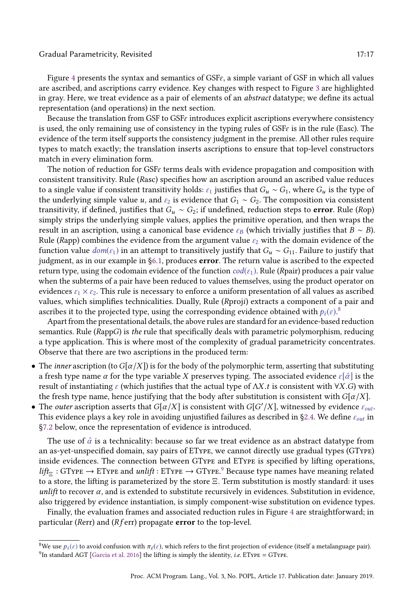### Gradual Parametricity, Revisited 17:17 (17:17) 17:17

Figure [4](#page-15-0) presents the syntax and semantics of  $GSF\epsilon$ , a simple variant of GSF in which all values are ascribed, and ascriptions carry evidence. Key changes with respect to Figure [3](#page-12-0) are highlighted in gray. Here, we treat evidence as a pair of elements of an abstract datatype; we define its actual representation (and operations) in the next section.

Because the translation from GSF to GSF $\varepsilon$  introduces explicit ascriptions everywhere consistency is used, the only remaining use of consistency in the typing rules of GSFε is in the rule (Easc). The evidence of the term itself supports the consistency judgment in the premise. All other rules require types to match exactly; the translation inserts ascriptions to ensure that top-level constructors match in every elimination form.

The notion of reduction for  $SSE$  terms deals with evidence propagation and composition with consistent transitivity. Rule (Rasc) specifies how an ascription around an ascribed value reduces to a single value if consistent transitivity holds:  $\varepsilon_1$  justifies that  $G_u \sim G_1$ , where  $G_u$  is the type of the underlying simple value u, and  $\varepsilon_2$  is evidence that  $G_1 \sim G_2$ . The composition via consistent transitivity, if defined, justifies that  $G_u \sim G_2$ ; if undefined, reduction steps to **error**. Rule (Rop) simply strips the underlying simple values, applies the primitive operation, and then wraps the result in an ascription, using a canonical base evidence  $\varepsilon_B$  (which trivially justifies that  $B \sim B$ ). Rule (Rapp) combines the evidence from the argument value  $\varepsilon_2$  with the domain evidence of the function value  $dom(\varepsilon_1)$  in an attempt to transitively justify that  $G_u \sim G_{11}$ . Failure to justify that judgment, as in our example in [ğ6.1,](#page-13-3) produces error. The return value is ascribed to the expected return type, using the codomain evidence of the function  $cod(\varepsilon_1)$ . Rule (Rpair) produces a pair value when the subterms of a pair have been reduced to values themselves, using the product operator on evidences  $\varepsilon_1 \times \varepsilon_2$ . This rule is necessary to enforce a uniform presentation of all values as ascribed values, which simplifies technicalities. Dually, Rule (Rproji) extracts a component of a pair and ascribes it to the projected type, using the corresponding evidence obtained with  $p_i(\varepsilon)$ .<sup>[8](#page-16-0)</sup>

Apart from the presentational details, the above rules are standard for an evidence-based reduction semantics. Rule (RappG) is the rule that specifically deals with parametric polymorphism, reducing a type application. This is where most of the complexity of gradual parametricity concentrates. Observe that there are two ascriptions in the produced term:

- The *inner* ascription (to  $G[\alpha/X]$ ) is for the body of the polymorphic term, asserting that substituting a fresh type name  $\alpha$  for the type variable X preserves typing. The associated evidence  $\varepsilon[\hat{\alpha}]$  is the result of instantiating  $\varepsilon$  (which justifies that the actual type of  $\Lambda X.t$  is consistent with  $\forall X.G$ ) with the fresh type name, hence justifying that the body after substitution is consistent with  $G[\alpha/X]$ .
- The outer ascription asserts that  $G[\alpha/X]$  is consistent with  $G[G'/X]$ , witnessed by evidence  $\varepsilon_{out}$ . This evidence plays a key role in avoiding unjustified failures as described in §2.4. We define  $\varepsilon_{out}$  in [ğ7.2](#page-18-0) below, once the representation of evidence is introduced.

The use of  $\hat{\alpha}$  is a technicality: because so far we treat evidence as an abstract datatype from an as-yet-unspecified domain, say pairs of EType, we cannot directly use gradual types (GType) inside evidences. The connection between GType and EType is specified by lifting operations,  $\mathit{lift}_\Xi : \text{GType} \to \text{EType}$  and  $\mathit{unlift} : \text{EType} \to \text{GType}.^\text{9}$  $\mathit{unlift} : \text{EType} \to \text{GType}.^\text{9}$  $\mathit{unlift} : \text{EType} \to \text{GType}.^\text{9}$  Because type names have meaning related to a store, the lifting is parameterized by the store Ξ. Term substitution is mostly standard: it uses unlift to recover  $\alpha$ , and is extended to substitute recursively in evidences. Substitution in evidence, also triggered by evidence instantiation, is simply component-wise substitution on evidence types.

Finally, the evaluation frames and associated reduction rules in Figure [4](#page-15-0) are straightforward; in particular (Rerr) and ( $R$  f err) propagate **error** to the top-level.

<span id="page-16-1"></span><span id="page-16-0"></span><sup>&</sup>lt;sup>8</sup>We use  $p_i(\varepsilon)$  to avoid confusion with  $\pi_i(\varepsilon)$ , which refers to the first projection of evidence (itself a metalanguage pair). <sup>9</sup>In standard AGT [\[Garcia et al. 2016\]](#page-27-3) the lifting is simply the identity, *i.e.* ETYPE = GTYPE.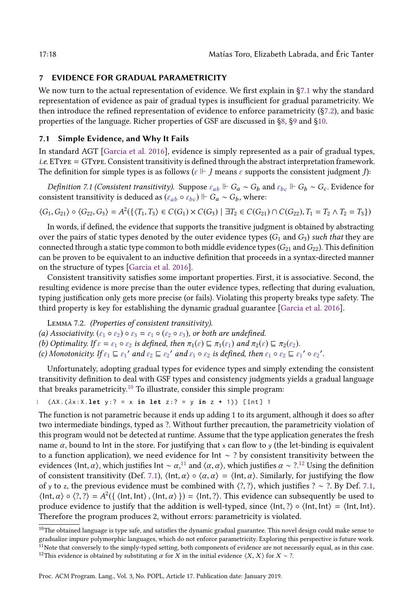### <span id="page-17-0"></span>7 EVIDENCE FOR GRADUAL PARAMETRICITY

We now turn to the actual representation of evidence. We first explain in [ğ7.1](#page-17-1) why the standard representation of evidence as pair of gradual types is insufficient for gradual parametricity. We then introduce the refined representation of evidence to enforce parametricity ([ğ7.2\)](#page-18-0), and basic properties of the language. Richer properties of GSF are discussed in [ğ8,](#page-20-0) [ğ9](#page-22-0) and [ğ10.](#page-23-0)

### <span id="page-17-1"></span>7.1 Simple Evidence, and Why It Fails

In standard AGT [\[Garcia et al.](#page-27-3) [2016\]](#page-27-3), evidence is simply represented as a pair of gradual types, i.e. EType = GType. Consistent transitivity is defined through the abstract interpretation framework. The definition for simple types is as follows ( $\varepsilon \Vdash J$  means  $\varepsilon$  supports the consistent judgment *J*):

<span id="page-17-5"></span>*Definition 7.1 (Consistent transitivity).* Suppose  $\varepsilon_{ab}$  ⊩  $G_a \sim G_b$  and  $\varepsilon_{bc}$  ⊢  $G_b \sim G_c$ . Evidence for consistent transitivity is deduced as ( $\varepsilon_{ab} \circ \varepsilon_{bc}$ )  $\Vdash G_a \sim G_b$ , where:

$$
\langle G_1, G_{21} \rangle \circ \langle G_{22}, G_3 \rangle = A^2(\{\langle T_1, T_3 \rangle \in C(G_1) \times C(G_3) \mid \exists T_2 \in C(G_{21}) \cap C(G_{22}), T_1 = T_2 \land T_2 = T_3 \})
$$

In words, if defined, the evidence that supports the transitive judgment is obtained by abstracting over the pairs of static types denoted by the outer evidence types  $(G_1 \text{ and } G_3)$  such that they are connected through a static type common to both middle evidence types  $(G_{21}$  and  $G_{22})$ . This definition can be proven to be equivalent to an inductive definition that proceeds in a syntax-directed manner on the structure of types [\[Garcia et al. 2016\]](#page-27-3).

Consistent transitivity satisfies some important properties. First, it is associative. Second, the resulting evidence is more precise than the outer evidence types, reflecting that during evaluation, typing justification only gets more precise (or fails). Violating this property breaks type safety. The third property is key for establishing the dynamic gradual guarantee [\[Garcia et al. 2016\]](#page-27-3).

Lemma 7.2. (Properties of consistent transitivity).

- (a) Associativity.  $(\varepsilon_1 \circ \varepsilon_2) \circ \varepsilon_3 = \varepsilon_1 \circ (\varepsilon_2 \circ \varepsilon_3)$ , or both are undefined.
- (b) Optimality. If  $\varepsilon = \varepsilon_1 \circ \varepsilon_2$  is defined, then  $\pi_1(\varepsilon) \sqsubseteq \pi_1(\varepsilon_1)$  and  $\pi_2(\varepsilon) \sqsubseteq \pi_2(\varepsilon_2)$ .
- (c) Monotonicity. If  $\varepsilon_1 \sqsubseteq \varepsilon_1'$  and  $\varepsilon_2 \sqsubseteq \varepsilon_2'$  and  $\varepsilon_1 \circ \varepsilon_2$  is defined, then  $\varepsilon_1 \circ \varepsilon_2 \sqsubseteq \varepsilon_1' \circ \varepsilon_2'$ .

Unfortunately, adopting gradual types for evidence types and simply extending the consistent transitivity definition to deal with GSF types and consistency judgments yields a gradual language that breaks parametricity.<sup>[10](#page-17-2)</sup> To illustrate, consider this simple program:

```
1 (ΛX .(λx:X. let y :? = x in let z :? = y in z + 1)) [ Int ] 1
```
The function is not parametric because it ends up adding 1 to its argument, although it does so after two intermediate bindings, typed as ?. Without further precaution, the parametricity violation of this program would not be detected at runtime. Assume that the type application generates the fresh name  $\alpha$ , bound to Int in the store. For justifying that x can flow to y (the let-binding is equivalent to a function application), we need evidence for Int ∼ ? by consistent transitivity between the evidences ⟨Int, α⟩, which justifies Int ∼ α,<sup>[11](#page-17-3)</sup> and ⟨α, α⟩, which justifies α ∼ ?.<sup>[12](#page-17-4)</sup> Using the definition of consistent transitivity (Def. [7.1\)](#page-17-5),  $\langle \text{Int}, \alpha \rangle \circ \langle \alpha, \alpha \rangle = \langle \text{Int}, \alpha \rangle$ . Similarly, for justifying the flow of y to z, the previous evidence must be combined with  $\langle ?, ? \rangle$ , which justifies ? ∼ ?. By Def. [7.1,](#page-17-5)  $\langle \text{Int}, \alpha \rangle \circ \langle ?, ? \rangle = A^2(\{\langle \text{Int}, \text{Int}, \alpha \rangle\}) = \langle \text{Int}, ? \rangle$ . This evidence can subsequently be used to produce evidence to justify that the addition is well-typed, since  $\langle \text{Int}, ? \rangle \circ \langle \text{Int}, \text{Int} \rangle = \langle \text{Int}, \text{Int} \rangle$ . Therefore the program produces 2, without errors: parametricity is violated.

<span id="page-17-4"></span><span id="page-17-3"></span><span id="page-17-2"></span> $^{10}\rm{The}$  obtained language is type safe, and satisfies the dynamic gradual guarantee. This novel design could make sense to gradualize impure polymorphic languages, which do not enforce parametricity. Exploring this perspective is future work. <sup>11</sup>Note that conversely to the simply-typed setting, both components of evidence are not necessarily equal, as in this case. <sup>12</sup>This evidence is obtained by substituting  $\alpha$  for X in the initial evidence  $\langle X, X \rangle$  for  $X \sim ?$ .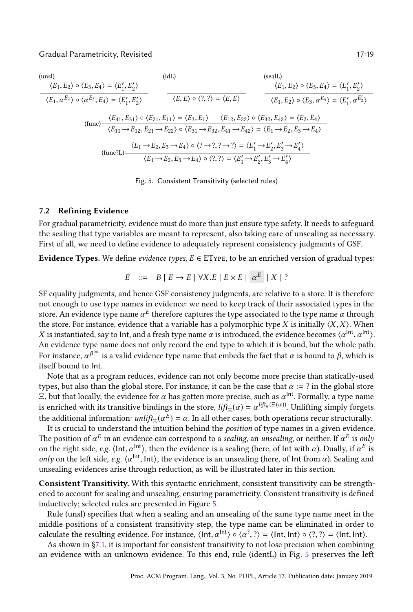<span id="page-18-1"></span>
$$
\frac{\langle E_1, E_2 \rangle \circ \langle E_3, E_4 \rangle = \langle E'_1, E'_2 \rangle}{\langle E_1, \alpha^{E_2} \rangle \circ \langle \alpha^{E_3}, E_4 \rangle = \langle E'_1, E'_2 \rangle}
$$
\n
$$
\frac{\langle E_1, E_2 \rangle \circ \langle E_3, E_4 \rangle = \langle E'_1, E'_2 \rangle}{\langle E_1, E_2 \rangle \circ \langle E_3, E_4 \rangle = \langle E'_1, E'_2 \rangle}
$$
\n
$$
\frac{\langle E_1, E_2 \rangle \circ \langle E_3, E_4 \rangle = \langle E'_1, E'_2 \rangle}{\langle E_1, E_2 \rangle \circ \langle E_3, E_4 \rangle = \langle E'_1, \alpha^{E'_2} \rangle}
$$
\n
$$
\frac{\langle E_{41}, E_{31} \rangle \circ \langle E_{21}, E_{11} \rangle = \langle E_3, E_1 \rangle \quad \langle E_{12}, E_{22} \rangle \circ \langle E_{32}, E_{42} \rangle = \langle E_2, E_4 \rangle}{\langle E_1, E_2 \rangle \circ \langle E_3, E_4 \rangle = \langle E_2, E_4 \rangle}
$$
\n
$$
\frac{\langle E_1 \rightarrow E_{12}, E_{21} \rightarrow E_{22} \rangle \circ \langle E_{31} \rightarrow E_{32}, E_{41} \rightarrow E_{42} \rangle = \langle E_1 \rightarrow E_2, E_3 \rightarrow E_4 \rangle}{\langle E_1 \rightarrow E_2, E_3 \rightarrow E_4 \rangle \circ \langle 2, \gamma \rangle = \langle E'_1 \rightarrow E'_2, E'_3 \rightarrow E'_4 \rangle}
$$
\n
$$
\frac{\langle E_1 \rightarrow E_2, E_3 \rightarrow E_4 \rangle \circ \langle 2, \gamma \rangle = \langle E'_1 \rightarrow E'_2, E'_3 \rightarrow E'_4 \rangle}{\langle E_1 \rightarrow E_2, E_3 \rightarrow E_4 \rangle \circ \langle 2, \gamma \rangle = \langle E'_1 \rightarrow E'_2, E'_3 \rightarrow E'_4 \rangle}
$$

Fig. 5. Consistent Transitivity (selected rules)

### <span id="page-18-0"></span>7.2 Refining Evidence

For gradual parametricity, evidence must do more than just ensure type safety. It needs to safeguard the sealing that type variables are meant to represent, also taking care of unsealing as necessary. First of all, we need to define evidence to adequately represent consistency judgments of GSF.

Evidence Types. We define *evidence types*,  $E \in E$ Type, to be an enriched version of gradual types:

$$
E ::= B | E \rightarrow E | \forall X.E | E \times E | \alpha^{E} | X | ?
$$

SF equality judgments, and hence GSF consistency judgments, are relative to a store. It is therefore not enough to use type names in evidence: we need to keep track of their associated types in the store. An evidence type name  $\alpha^E$  therefore captures the type associated to the type name  $\alpha$  through the store. For instance, evidence that a variable has a polymorphic type X is initially  $\langle X, X \rangle$ . When X is instantiated, say to lnt, and a fresh type name  $\alpha$  is introduced, the evidence becomes  $\langle\alpha^{\rm{Int}},\alpha^{\rm{Int}}\rangle$ . An evidence type name does not only record the end type to which it is bound, but the whole path. For instance,  $\alpha^{\beta^{\text{int}}}$  is a valid evidence type name that embeds the fact that  $\alpha$  is bound to  $\beta$ , which is itself bound to Int.

Note that as a program reduces, evidence can not only become more precise than statically-used types, but also than the global store. For instance, it can be the case that  $\alpha := ?$  in the global store  $\Xi$ , but that locally, the evidence for  $\alpha$  has gotten more precise, such as  $\alpha^{\text{Int}}$ . Formally, a type name is enriched with its transitive bindings in the store,  $lif_{\Xi}(\alpha) = \alpha^{lif_{\Xi}(\Xi(\alpha))}$ . Unlifting simply forgets the additional information:  $\mathit{unlift}_{\Xi}(\alpha^E) = \alpha.$  In all other cases, both operations recur structurally.

It is crucial to understand the intuition behind the position of type names in a given evidence. The position of  $\alpha^E$  in an evidence can correspond to a *sealing*, an *unsealing*, or neither. If  $\alpha^E$  is *only* on the right side,  $e.g.$   $\langle$ Int, $\alpha^{int} \rangle$ , then the evidence is a sealing (here, of Int with  $\alpha$ ). Dually, if  $\alpha^E$  is only on the left side, e.g.  $\langle \alpha^{\text{Int}}$ , Int $\rangle$ , the evidence is an unsealing (here, of Int from  $\alpha$ ). Sealing and unsealing evidences arise through reduction, as will be illustrated later in this section.

Consistent Transitivity. With this syntactic enrichment, consistent transitivity can be strengthened to account for sealing and unsealing, ensuring parametricity. Consistent transitivity is defined inductively; selected rules are presented in Figure [5.](#page-18-1)

Rule (unsl) specifies that when a sealing and an unsealing of the same type name meet in the middle positions of a consistent transitivity step, the type name can be eliminated in order to calculate the resulting evidence. For instance,  $\langle \text{Int}, \alpha^{\text{Int}} \rangle \circ \langle \alpha^2, ? \rangle = \langle \text{Int}, \text{Int} \rangle \circ \langle ?, ? \rangle = \langle \text{Int}, \text{Int} \rangle$ .

As shown in [ğ7.1,](#page-17-1) it is important for consistent transitivity to not lose precision when combining an evidence with an unknown evidence. To this end, rule (identL) in Fig. [5](#page-18-1) preserves the left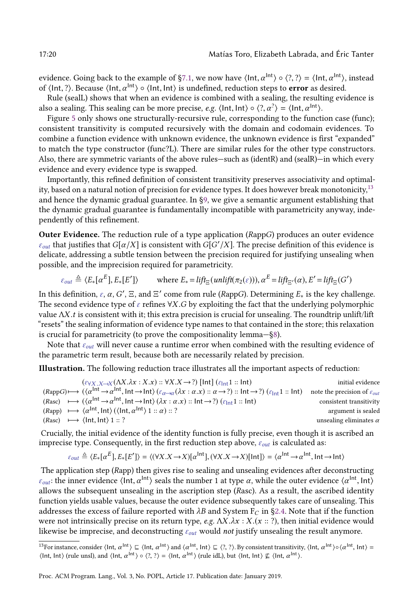evidence. Going back to the example of §7.1, we now have  $\langle$ Int, $\alpha^{\rm{Int}}\rangle \circ \langle ?, ?\rangle = \langle$ Int, $\alpha^{\rm{Int}}\rangle$ , instead of  $\langle$ Int, ?). Because  $\langle$ Int,  $\alpha$ <sup>Int</sup> $\rangle$   $\circ$   $\langle$ Int, Int $\rangle$  is undefined, reduction steps to **error** as desired.

Rule (sealL) shows that when an evidence is combined with a sealing, the resulting evidence is also a sealing. This sealing can be more precise, e.g.  $\langle$  lnt, lnt $\rangle \circ \langle ? , \alpha^? \rangle = \langle$  lnt,  $\alpha^{\mathsf{Int}} \rangle$ .

Figure [5](#page-18-1) only shows one structurally-recursive rule, corresponding to the function case (func); consistent transitivity is computed recursively with the domain and codomain evidences. To combine a function evidence with unknown evidence, the unknown evidence is first "expanded" to match the type constructor (func?L). There are similar rules for the other type constructors. Also, there are symmetric variants of the above rules-such as (identR) and (sealR)-in which every evidence and every evidence type is swapped.

Importantly, this refined definition of consistent transitivity preserves associativity and optimal-ity, based on a natural notion of precision for evidence types. It does however break monotonicity,<sup>[13](#page-19-0)</sup> and hence the dynamic gradual guarantee. In [ğ9,](#page-22-0) we give a semantic argument establishing that the dynamic gradual guarantee is fundamentally incompatible with parametricity anyway, independently of this refinement.

Outer Evidence. The reduction rule of a type application (RappG) produces an outer evidence  $\varepsilon_{out}$  that justifies that  $G[\alpha/X]$  is consistent with  $G[G'/X]$ . The precise definition of this evidence is delicate, addressing a subtle tension between the precision required for justifying unsealing when possible, and the imprecision required for parametricity.

$$
\varepsilon_{out} \triangleq \langle E_*[\alpha^E], E_*[E'] \rangle \qquad \text{where } E_* = \text{lift}_{\Xi}(\text{unlift}(\pi_2(\varepsilon))), \alpha^E = \text{lift}_{\Xi'}(\alpha), E' = \text{lift}_{\Xi}(G')
$$

In this definition,  $\varepsilon$ ,  $\alpha$ ,  $G'$ ,  $\Xi$ , and  $\Xi'$  come from rule (RappG). Determining  $E_*$  is the key challenge. The second evidence type of  $\varepsilon$  refines  $\forall X. G$  by exploiting the fact that the underlying polymorphic value  $\Lambda X$ .t is consistent with it; this extra precision is crucial for unsealing. The roundtrip unlift/lift "resets" the sealing information of evidence type names to that contained in the store; this relaxation is crucial for parametricity (to prove the compositionality lemma $-\S$ 8).

Note that  $\varepsilon_{out}$  will never cause a runtime error when combined with the resulting evidence of the parametric term result, because both are necessarily related by precision.

Illustration. The following reduction trace illustrates all the important aspects of reduction:

 $(\varepsilon_{\forall X, X\rightarrow X}(\Lambda X, \lambda x : X, x) :: \forall X. X \rightarrow ?)$  [Int]  $(\varepsilon_{\text{int}} 1 :: \text{int})$  initial evidence  $(RappG) \longmapsto (\langle \alpha^{\mathsf{Int}} \rightarrow \alpha^{\mathsf{Int}}, \mathsf{Int} \rightarrow \mathsf{Int}) \ (\varepsilon_{\alpha \rightarrow \alpha} (\lambda x : \alpha . x) :: \alpha \rightarrow ?) :: \mathsf{Int} \rightarrow ?) \ (\varepsilon_{\mathsf{Int}}1 :: \mathsf{Int}) \quad \text{ note the precision of } \ \varepsilon_{\mathsf{out}}$ (Rasc)  $\mapsto (\langle \alpha^{\text{Int}} \rightarrow \alpha^{\text{Int}}), \text{Int} \rightarrow \text{Int}) (\lambda x : \alpha.x) :: \text{Int} \rightarrow ?) (\varepsilon_{\text{Int}} 1 :: \text{Int})$  consistent transitivity  $(Rapp) \rightarrow \langle \alpha^{Int}, Int \rangle (\langle Int, \alpha^{Int} \rangle 1 :: \alpha) :: ?$  argument is sealed (Rasc)  $\mapsto$   $\langle$ Int, Int $\rangle$  1 :: ? unsealing eliminates  $\alpha$ 

Crucially, the initial evidence of the identity function is fully precise, even though it is ascribed an imprecise type. Consequently, in the first reduction step above,  $\varepsilon_{out}$  is calculated as:

$$
\varepsilon_{out} \triangleq \langle E_*[\alpha^E], E_*[E'] \rangle = \langle (\forall X. X \rightarrow X)[\alpha^{\text{Int}}], (\forall X. X \rightarrow X)[\text{Int}] \rangle = \langle \alpha^{\text{Int}} \rightarrow \alpha^{\text{Int}}, \text{Int} \rightarrow \text{Int} \rangle
$$

The application step (Rapp) then gives rise to sealing and unsealing evidences after deconstructing  $\varepsilon_{out}$ : the inner evidence  $\langle$ Int,  $\alpha^{\text{Int}}\rangle$  seals the number 1 at type  $\alpha$ , while the outer evidence  $\langle \alpha^{\text{Int}}$ , Int $\rangle$ allows the subsequent unsealing in the ascription step (Rasc). As a result, the ascribed identity function yields usable values, because the outer evidence subsequently takes care of unsealing. This addresses the excess of failure reported with  $\lambda B$  and System F<sub>C</sub> in §2.4. Note that if the function were not intrinsically precise on its return type, e.g.  $\Lambda X.\lambda x : X.(x :: ?)$ , then initial evidence would likewise be imprecise, and deconstructing  $\varepsilon_{out}$  would not justify unsealing the result anymore.

<span id="page-19-0"></span><sup>&</sup>lt;sup>13</sup>For instance, consider  $\langle \text{Int}, \alpha^{\text{Int}} \rangle \sqsubseteq \langle \text{Int}, \alpha^{\text{Int}} \rangle$  and  $\langle \alpha^{\text{Int}}, \text{Int} \rangle \subseteq \langle \text{?}, \text{?} \rangle$ . By consistent transitivity,  $\langle \text{Int}, \alpha^{\text{Int}} \rangle \circ \langle \alpha^{\text{Int}}, \text{Int} \rangle =$  $\langle$ Int, Int $\rangle$  (rule unsl), and  $\langle$ Int,  $\alpha^{\text{Int}}\rangle \circ \langle ?, ? \rangle = \langle$ Int,  $\alpha^{\text{Int}}\rangle$  (rule idL), but  $\langle$ Int, Int $\rangle \nsubseteq \langle$ Int,  $\alpha^{\text{Int}}\rangle$ .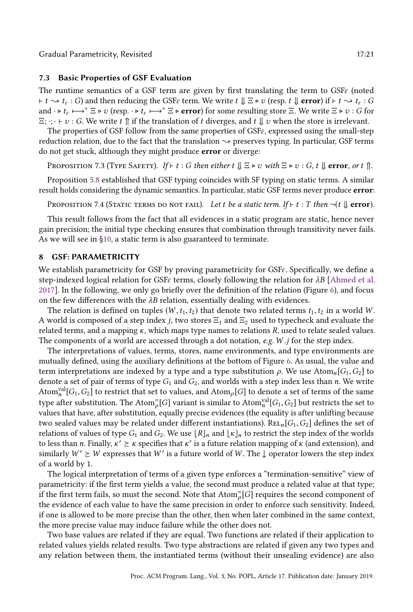Gradual Parametricity, Revisited 17:21 17:21

### 7.3 Basic Properties of GSF Evaluation

The runtime semantics of a GSF term are given by first translating the term to  $GSF\epsilon$  (noted  $\vdash t \rightsquigarrow t_{\varepsilon}: G$  and then reducing the GSF $\varepsilon$  term. We write  $t \Downarrow \Xi \triangleright v$  (resp.  $t \Downarrow \textbf{error}$ ) if  $\vdash t \rightsquigarrow t_{\varepsilon}: G$ and  $\cdot \triangleright t_{\varepsilon} \longmapsto^* \Xi \triangleright v$  (resp.  $\cdot \triangleright t_{\varepsilon} \longmapsto^* \Xi \triangleright \text{error}$ ) for some resulting store  $\Xi$ . We write  $\Xi \triangleright v$  : G for  $\Xi$ ;  $\cdot$ ;  $\cdot$   $\vdash$   $v$  :  $G$ . We write  $t \uparrow$  if the translation of  $t$  diverges, and  $t \downarrow v$  when the store is irrelevant.

The properties of GSF follow from the same properties of GSFε, expressed using the small-step reduction relation, due to the fact that the translation  $\sim$  preserves typing. In particular, GSF terms do not get stuck, although they might produce error or diverge:

PROPOSITION 7.3 (TYPE SAFETY). If ⊢ t : G then either  $t \Downarrow \Xi \triangleright v$  with  $\Xi \triangleright v$  : G,  $t \Downarrow$  error, or t  $\Uparrow$ .

Proposition [5.8](#page-13-4) established that GSF typing coincides with SF typing on static terms. A similar result holds considering the dynamic semantics. In particular, static GSF terms never produce error:

<span id="page-20-1"></span>PROPOSITION 7.4 (STATIC TERMS DO NOT FAIL). Let t be a static term. If ⊢ t : T then  $\neg(t \Downarrow error)$ .

This result follows from the fact that all evidences in a static program are static, hence never gain precision; the initial type checking ensures that combination through transitivity never fails. As we will see in [ğ10,](#page-23-0) a static term is also guaranteed to terminate.

### <span id="page-20-0"></span>8 GSF: PARAMETRICITY

We establish parametricity for GSF by proving parametricity for GSFε. Specifically, we define a step-indexed logical relation for GSF $\varepsilon$  terms, closely following the relation for  $\lambda B$  [\[Ahmed et al.](#page-27-14) [2017\]](#page-27-14). In the following, we only go briefly over the definition of the relation (Figure [6\)](#page-21-0), and focus on the few differences with the  $\lambda B$  relation, essentially dealing with evidences.

The relation is defined on tuples  $(W, t_1, t_2)$  that denote two related terms  $t_1, t_2$  in a world W. A world is composed of a step index j, two stores  $\Xi_1$  and  $\Xi_2$  used to typecheck and evaluate the related terms, and a mapping  $\kappa$ , which maps type names to relations  $R$ , used to relate sealed values. The components of a world are accessed through a dot notation, e.g.  $W$  i for the step index.

The interpretations of values, terms, stores, name environments, and type environments are mutually defined, using the auxiliary definitions at the bottom of Figure [6.](#page-21-0) As usual, the value and term interpretations are indexed by a type and a type substitution  $\rho$ . We use Atom<sub>n</sub>[G<sub>1</sub>,G<sub>2</sub>] to denote a set of pair of terms of type  $G_1$  and  $G_2$ , and worlds with a step index less than n. We write  $\mathrm{Atom}_n^{\mathrm{val}}[G_1,G_2]$  to restrict that set to values, and  $\mathrm{Atom}_\rho[G]$  to denote a set of terms of the same type after substitution. The Atom $_{\rho}^=[G]$  variant is similar to Atom $_{n}^{\text{val}}[G_1,G_2]$  but restricts the set to values that have, after substitution, equally precise evidences (the equality is after unlifting because two sealed values may be related under different instantiations). REL<sub>n</sub>[G<sub>1</sub>, G<sub>2</sub>] defines the set of relations of values of type  $G_1$  and  $G_2$ . We use  $\lfloor R \rfloor_n$  and  $\lfloor \kappa \rfloor_n$  to restrict the step index of the worlds to less than n. Finally,  $\kappa' \geq \kappa$  specifies that  $\kappa'$  is a future relation mapping of  $\kappa$  (and extension), and similarly  $W' \geq W$  expresses that  $W'$  is a future world of W. The  $\downarrow$  operator lowers the step index of a world by 1.

The logical interpretation of terms of a given type enforces a "termination-sensitive" view of parametricity: if the first term yields a value, the second must produce a related value at that type; if the first term fails, so must the second. Note that  $\text{Atom}_{\rho}^=[G]$  requires the second component of the evidence of each value to have the same precision in order to enforce such sensitivity. Indeed, if one is allowed to be more precise than the other, then when later combined in the same context, the more precise value may induce failure while the other does not.

Two base values are related if they are equal. Two functions are related if their application to related values yields related results. Two type abstractions are related if given any two types and any relation between them, the instantiated terms (without their unsealing evidence) are also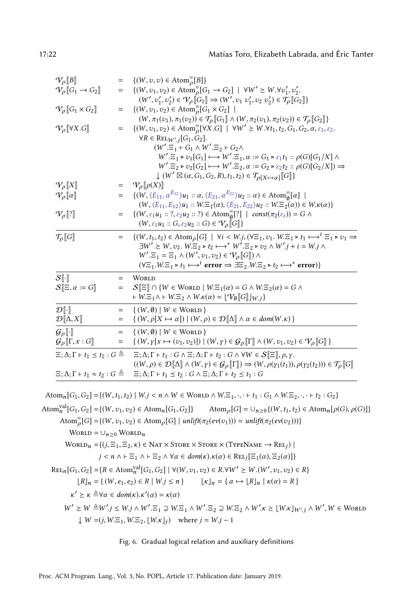<span id="page-21-0"></span>

| $V_{\rho}[\![B]\!]$                                              | $=$ | $\{(W, v, v) \in \text{Atom}_{\rho}^=[B]\}$                                                                                                                                       |
|------------------------------------------------------------------|-----|-----------------------------------------------------------------------------------------------------------------------------------------------------------------------------------|
| $\mathcal{V}_\rho$ $[G_1 \to G_2]$                               | $=$ | $\{(W, v_1, v_2) \in \text{Atom}_{\rho}^{-}[G_1 \to G_2] \mid \forall W' \geq W.\forall v'_1, v'_2.$                                                                              |
|                                                                  |     | $(W',v'_1,v'_2)\in\mathcal{V}_\rho[\hspace{-0.04cm}[ G_1]\hspace{-0.04cm}]\Rightarrow(W',v_1\;v'_1,v_2\;v'_2)\in\mathcal{T}_\rho[\hspace{-0.04cm}[ G_2]\hspace{-0.04cm}]\}$       |
| $\mathcal{V}_{\rho}\llbracket G_1 \times G_2 \rrbracket$         | $=$ | $\{(W, v_1, v_2) \in \text{Atom}_{\rho}^{-}[G_1 \times G_2]$                                                                                                                      |
|                                                                  |     | $(W,\pi_1(v_1),\pi_1(v_2))\in{\mathcal{T}}_{\rho}\llbracket G_1\rrbracket\wedge(W,\pi_2(v_1),\pi_2(v_2))\in{\mathcal{T}}_{\rho}\llbracket G_2\rrbracket\}$                        |
| $\mathcal{V}_{\rho}[\![\forall X. G]\!]$                         | $=$ | $\{(W, v_1, v_2) \in \text{Atom}_{\rho}^{-}[\forall X . G] \mid \forall W' \geq W. \forall t_1, t_2, G_1, G_2, \alpha, \varepsilon_1, \varepsilon_2.$                             |
|                                                                  |     | $\forall R \in \text{ReLU}_{W',j}[G_1, G_2].$                                                                                                                                     |
|                                                                  |     | $(W'.\Xi_1 \vdash G_1 \wedge W'.\Xi_2 \vdash G_2 \wedge$                                                                                                                          |
|                                                                  |     | $W'.\Xi_1 \triangleright v_1[G_1] \longmapsto W'.\Xi_1, \alpha := G_1 \triangleright \varepsilon_1 t_1 :: \rho(G)[G_1/X] \wedge$                                                  |
|                                                                  |     | $W'.\Xi_2 \triangleright v_2[G_2] \longmapsto W'.\Xi_2, \alpha := G_2 \triangleright \varepsilon_2 t_2 :: \rho(G)[G_2/X]) \Rightarrow$                                            |
|                                                                  |     | $\downarrow$ $(W' \boxtimes (\alpha, G_1, G_2, R), t_1, t_2) \in \mathcal{T}_{\rho[X \mapsto \alpha]}[[G]]$                                                                       |
| $\mathcal{V}_{\rho}\llbracket X \rrbracket$                      | $=$ | $\mathcal{V}_{\rho}\llbracket \rho(X) \rrbracket$                                                                                                                                 |
| $V_{\rho}[\![\alpha]\!]$                                         | $=$ | $\{(W,\langle E_{11}, \alpha^{E_{12}}\rangle u_1 :: \alpha, \langle E_{21}, \alpha^{E_{22}}\rangle u_2 :: \alpha) \in \text{Atom}_{\mathfrak{g}}^{\equiv}[\alpha] \mid$           |
|                                                                  |     | $(W, \langle E_{11}, E_{12} \rangle u_1 : W.E_1(\alpha), \langle E_{21}, E_{22} \rangle u_2 : W.E_2(\alpha)) \in W.\kappa(\alpha)$                                                |
| $V_\rho$ [?]                                                     | $=$ | $\{(W, \varepsilon_1 u_1 :: ?, \varepsilon_2 u_2 :: ?) \in \mathrm{Atom}_{\emptyset}^= [?\} \mid \ \textit{const}(\pi_2(\varepsilon_i)) = G \land$                                |
|                                                                  |     | $(W, \varepsilon_1 u_1 :: G, \varepsilon_2 u_2 :: G) \in V_\rho[[G]]$                                                                                                             |
| $\mathcal{T}_{\rho}\llbracket G \rrbracket$                      | $=$ | $\{(W, t_1, t_2) \in \text{Atom}_{\rho}[G] \mid \forall i \leq W \cdot j, (\forall \Xi_1, v_1. W \cdot \Xi_1 \triangleright t_1 \mapsto^i \Xi_1 \triangleright v_1 \Rightarrow$   |
|                                                                  |     | $\exists W' \geq W, v_2$ . $W \equiv_2 \triangleright t_2 \longmapsto^* W' \equiv_2 \triangleright v_2 \wedge W' \quad i = W \quad i \wedge$                                      |
|                                                                  |     | $W'.\Xi_1 = \Xi_1 \wedge (W', v_1, v_2) \in \mathcal{V}_\rho[[G]]) \wedge$                                                                                                        |
|                                                                  |     | $(\forall \Xi_1.W.\Xi_1 \triangleright t_1 \longmapsto^i \text{ error} \Rightarrow \exists \Xi_2.W.\Xi_2 \triangleright t_2 \longmapsto^* \text{ error})$                         |
|                                                                  |     |                                                                                                                                                                                   |
| $S[\cdot]$                                                       | $=$ | <b>WORLD</b>                                                                                                                                                                      |
| $\mathcal{S}[\Xi,\alpha:=G]$                                     | $=$ | $S[\Xi] \cap \{W \in \text{Work} \mid W.\Xi_1(\alpha) = G \wedge W.\Xi_2(\alpha) = G \wedge$                                                                                      |
|                                                                  |     | $\vdash W.\Xi_1 \wedge \vdash W.\Xi_2 \wedge W.\kappa(\alpha) = \lfloor \mathcal{V}_{\emptyset} [\![G]\!] \rfloor_{W,j}$                                                          |
| $\mathcal{D}[\cdot]$                                             | $=$ | $\{(W,\emptyset) \mid W \in \text{Work} \}$                                                                                                                                       |
| $\mathcal{D}[\![\Delta,X]\!]$                                    | $=$ | $\{(W, \rho[X \mapsto \alpha])   (W, \rho) \in \mathcal{D}[\![\Delta]\!] \land \alpha \in dom(W.\kappa)\}$                                                                        |
| $\mathcal{G}_{\rho}[\![\cdot]\!]$                                | $=$ | $\{(W,\emptyset)   W \in \text{Worko}\}\$                                                                                                                                         |
| $\mathcal{G}_{\rho}[\![\Gamma, x:G]\!]$                          | $=$ | $\{ (W, \gamma[x \mapsto (v_1, v_2)]) \mid (W, \gamma) \in \mathcal{G}_\rho[\![\Gamma]\!] \wedge (W, v_1, v_2) \in \mathcal{V}_\rho[\![G]\!] \}$                                  |
| $\Xi$ ; $\Delta$ ; $\Gamma$ + $t_1 \leq t_2$ : $G \triangleq$    |     | $\Xi$ ; $\Delta$ ; $\Gamma$ + $t_1$ : $G \wedge \Xi$ ; $\Delta$ ; $\Gamma$ + $t_2$ : $G \wedge \forall W \in \mathcal{S}[\Xi], \rho, \gamma$ .                                    |
|                                                                  |     | $((W,\rho)\in \mathcal{D}[\![\Delta]\!]\wedge (W,\gamma)\in \mathcal{G}_\rho[\![\Gamma]\!]) \Rightarrow (W,\rho(\gamma_1(t_1)),\rho(\gamma_2(t_2)))\in \mathcal{T}_\rho[\![G]\!]$ |
| $\Xi$ ; $\Delta$ ; $\Gamma$ + $t_1 \approx t_2$ : $G \triangleq$ |     | $\Xi$ ; $\Delta$ ; $\Gamma$ + $t_1 \le t_2$ : $G \wedge \Xi$ ; $\Delta$ ; $\Gamma$ + $t_2 \le t_1$ : $G$                                                                          |

Atom<sub>n</sub> $[G_1, G_2] = \{(W, t_1, t_2) | W_j < n \land W \in \text{WORD} \land W.E_1, \dots \vdash t_1 : G_1 \land W.E_2, \dots \vdash t_2 : G_2\}$ Atom $_{n}^{\text{val}}[G_1, G_2] = \{(W, v_1, v_2) \in \text{Atom}_n[G_1, G_2]\}$  Atom<sub>p</sub>[G] = ∪<sub>n≥0</sub>{(W, t<sub>1</sub>, t<sub>2</sub>) ∈ Atom<sub>n</sub>[p(G), p(G)]}  $\text{Atom}_{\rho}^=[G] = \{(W, v_1, v_2) \in \text{Atom}_{\rho}[G] \mid \text{unlift}(\pi_2(ev(v_1))) = \text{unlift}(\pi_2(ev(v_2)))\}$ WORLD =  $\cup_{n>0}$  WORLD<sub>n</sub>  $\text{World}_n = \{(j, \Xi_1, \Xi_2, \kappa) \in \text{Nat } \times \text{Store} \times \text{Store} \times (\text{TypeName} \rightarrow \text{Rel}_j) \mid$  $j < n \land \vdash \Xi_1 \land \vdash \Xi_2 \land \forall \alpha \in dom(\kappa) \ldotp \kappa(\alpha) \in \text{ReLU}_j[\Xi_1(\alpha), \Xi_2(\alpha)]\}$  $\text{REL}_n[G_1, G_2] = \{R \in \text{Atom}_n^{\text{val}}[G_1, G_2] \mid \forall (W, v_1, v_2) \in R. \forall W' \ge W.(W', v_1, v_2) \in R\}$  $\lfloor R \rfloor_n = \{ (W, e_1, e_2) \in R \mid W \leq n \}$   $\lfloor \kappa \rfloor_n = \{ \alpha \mapsto \lfloor R \rfloor_n \mid \kappa(\alpha) = R \}$  $\kappa' \geq \kappa \triangleq \forall \alpha \in dom(\kappa) . \kappa'(\alpha) = \kappa(\alpha)$  $W'\succeq W\triangleq\!W' \text{, }j\leq W \text{, }j\wedge W'.\Xi_1\supseteq W.\Xi_1\wedge W'.\Xi_2\supseteq W.\Xi_2\wedge W'.\kappa\succeq\lfloor W\text{.}\kappa\rfloor_{W',\text{ }j}\wedge W',W\in\text{W$  $\downarrow$   $W = (j, W \equiv 1, W \equiv 2, \lfloor W \cdot \kappa \rfloor)$  where  $j = W \cdot j - 1$ 

Fig. 6. Gradual logical relation and auxiliary definitions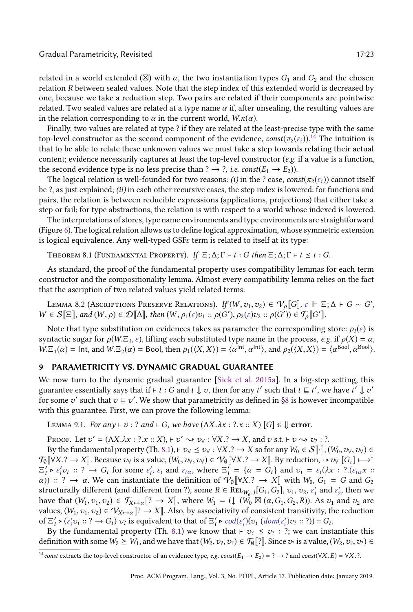#### Gradual Parametricity, Revisited 17:23

related in a world extended ( $\boxtimes$ ) with  $\alpha$ , the two instantiation types  $G_1$  and  $G_2$  and the chosen relation R between sealed values. Note that the step index of this extended world is decreased by one, because we take a reduction step. Two pairs are related if their components are pointwise related. Two sealed values are related at a type name  $\alpha$  if, after unsealing, the resulting values are in the relation corresponding to  $\alpha$  in the current world,  $W.\kappa(\alpha)$ .

Finally, two values are related at type ? if they are related at the least-precise type with the same top-level constructor as the second component of the evidence,  $\text{const}(\pi_2(\varepsilon_i)).^{14}$  $\text{const}(\pi_2(\varepsilon_i)).^{14}$  $\text{const}(\pi_2(\varepsilon_i)).^{14}$  The intuition is that to be able to relate these unknown values we must take a step towards relating their actual content; evidence necessarily captures at least the top-level constructor (e.g. if a value is a function, the second evidence type is no less precise than ?  $\rightarrow$  ?, *i.e.* const( $E_1 \rightarrow E_2$ )).

The logical relation is well-founded for two reasons: (i) in the ? case, const( $\pi_2(\varepsilon_i)$ ) cannot itself be ?, as just explained; (ii) in each other recursive cases, the step index is lowered: for functions and pairs, the relation is between reducible expressions (applications, projections) that either take a step or fail; for type abstractions, the relation is with respect to a world whose indexed is lowered.

The interpretations of stores, type name environments and type environments are straightforward (Figure [6\)](#page-21-0). The logical relation allows us to define logical approximation, whose symmetric extension is logical equivalence. Any well-typed  $GSE \varepsilon$  term is related to itself at its type:

<span id="page-22-2"></span>THEOREM 8.1 (FUNDAMENTAL PROPERTY). If  $\Xi$ ;  $\Delta$ ;  $\Gamma \vdash t$  : G then  $\Xi$ ;  $\Delta$ ;  $\Gamma \vdash t \leq t$  : G.

As standard, the proof of the fundamental property uses compatibility lemmas for each term constructor and the compositionality lemma. Almost every compatibility lemma relies on the fact that the ascription of two related values yield related terms.

<span id="page-22-3"></span>Lemma 8.2 (Ascriptions Preserve Relations).  $\iint (W, v_1, v_2) \in \mathcal{V}_\rho[\![G]\!], \, \varepsilon \Vdash \Xi; \Delta \vdash G \sim G',$  $W \in \mathcal{S}[\Xi],$  and  $(W, \rho) \in \mathcal{D}[\![\Delta]\!]$ , then  $(W, \rho_1(\varepsilon)v_1 :: \rho(G'), \rho_2(\varepsilon)v_2 :: \rho(G')) \in \mathcal{T}_{\rho}[\![G']\!]$ .

Note that type substitution on evidences takes as parameter the corresponding store:  $\rho_i(\varepsilon)$  is syntactic sugar for  $\rho(W,\Xi_i,\varepsilon)$ , lifting each substituted type name in the process, e.g. if  $\rho(X) = \alpha$ ,  $W.E_1(\alpha) = \text{Int, and } W.E_2(\alpha) = \text{Bool, then } \rho_1(\langle X, X \rangle) = \langle \alpha^{\text{Int}}, \alpha^{\text{Int}} \rangle, \text{ and } \rho_2(\langle X, X \rangle) = \langle \alpha^{\text{Bool}}, \alpha^{\text{Bool}} \rangle.$ 

### <span id="page-22-0"></span>9 PARAMETRICITY VS. DYNAMIC GRADUAL GUARANTEE

We now turn to the dynamic gradual guarantee [\[Siek et al.](#page-28-3) [2015a\]](#page-28-3). In a big-step setting, this guarantee essentially says that if ⊢ t : G and t  $\Downarrow v$ , then for any t' such that  $t \sqsubseteq t'$ , we have t'  $\Downarrow v'$ for some  $v'$  such that  $v \sqsubseteq v'$ . We show that parametricity as defined in §8 is however incompatible with this guarantee. First, we can prove the following lemma:

<span id="page-22-4"></span>LEMMA 9.1. For any  $\vdash v : ?$  and  $\vdash G$ , we have  $(\Lambda X.\lambda x : ? .x :: X)$  [G]  $v \Downarrow$  error.

PROOF. Let  $v' = (\Lambda X.\lambda x : ? . x :: X), \vdash v' \leadsto v_\forall : \forall X. ? \rightarrow X$ , and  $v \text{ s.t. } \vdash v \leadsto v_? : ?$ .

By the fundamental property (Th. [8.1\)](#page-22-2),  $\vdash v_{\forall} \leq v_{\forall} : \forall X . ? \rightarrow X$  so for any  $W_0 \in S[\cdot], (W_0, v_{\forall}, v_{\forall}) \in$  $\mathcal{T}_{\emptyset}[\forall X.?\rightarrow X]$ . Because  $v_{\forall}$  is a value,  $(W_0, v_{\forall}, v_{\forall}) \in \mathcal{V}_{\emptyset}[\forall X.?\rightarrow X]$ . By reduction,  $\cdot \triangleright v_{\forall}$   $[G_i] \mapsto^*$  $\Xi_i' \triangleright \varepsilon_i' v_i :: ? \rightarrow G_i$  for some  $\varepsilon_i'$ ,  $\varepsilon_i$  and  $\varepsilon_{i\alpha}$ , where  $\Xi_i' = {\alpha = \overline{G_i}}$  and  $v_i = \varepsilon_i (\lambda x :: ? \cdot (\varepsilon_{i\alpha} x :: ? \cdot \cdot \cdot z))$  $\alpha$ )) :: ?  $\rightarrow \alpha$ . We can instantiate the definition of  $V_0$   $\llbracket \forall X. ? \rightarrow X \rrbracket$  with  $W_0, G_1 = G$  and  $G_2$ structurally different (and different from ?), some  $R \in \text{REL}_{W_0}$  [G<sub>1</sub>, G<sub>2</sub>],  $v_1$ ,  $v_2$ ,  $\varepsilon'_1$  and  $\varepsilon'_2$ , then we have that  $(W_1, v_1, v_2) \in \mathcal{T}_{X \mapsto \alpha}$   $[? \rightarrow X]$ , where  $W_1 = (\downarrow (W_0 \boxtimes (\alpha, G_1, G_2, R))$ . As  $v_1$  and  $v_2$  are values,  $(W_1, v_1, v_2) \in V_{X \mapsto \alpha}[[? \to X]]$ . Also, by associativity of consistent transitivity, the reduction of  $\Xi'_i \triangleright (\varepsilon'_iv_i :: ? \rightarrow G_i) v_i$  is equivalent to that of  $\Xi'_i \triangleright \text{cod}(\varepsilon'_i)(v_i \text{ (dom}(\varepsilon'_i)v_i :: ?)) :: G_i$ .

By the fundamental property (Th. [8.1\)](#page-22-2) we know that  $\vdash v_? \leq v_?$ : ?; we can instantiate this definition with some  $W_2 \geq W_1$ , and we have that  $(W_2, v_?, v_?) \in \mathcal{T}_{\emptyset}[\![?]\!]$ . Since  $v_?$  is a value,  $(W_2, v_?, v_?) \in$ 

<span id="page-22-1"></span><sup>&</sup>lt;sup>14</sup>const extracts the top-level constructor of an evidence type, e.g. const(E<sub>1</sub> → E<sub>2</sub>) = ? → ? and const(∀X.E) = ∀X.?.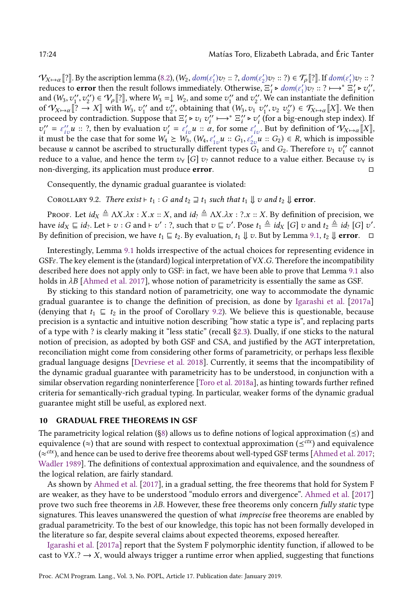$\mathcal{V}_{X \mapsto \alpha}[\![?]\!]$ . By the ascription lemma [\(8.2\)](#page-22-3),  $(W_2, dom(\varepsilon_1')v_? :: ?, dom(\varepsilon_2')v_? :: ?$ )  $\in \mathcal{T}_{\rho}[\![?]\!]$ . If  $dom(\varepsilon_1')v_? :: ?$ reduces to **error** then the result follows immediately. Otherwise,  $E'_i \triangleright dom(\varepsilon'_i)v_i :: ? \mapsto^* E'_i \triangleright v''_i$ , and  $(W_3, v_1'', v_2'') \in V_\rho$  ?], where  $W_3 = V_\rho$  w. and some  $v_1''$  and  $v_2''$ . We can instantiate the definition of  $V_{X\mapsto \alpha}[[? \to X]]$  with  $W_3$ ,  $v_1''$  and  $v_2''$ , obtaining that  $(W_3, v_1, v_1'', v_2, v_2'') \in \mathcal{T}_{X\mapsto \alpha}[[X]]$ . We then proceed by contradiction. Suppose that  $\Xi'_i \triangleright v_i$   $v''_i \mapsto^* \Xi''_i \triangleright v'_i$  (for a big-enough step index). If  $v''_i = \varepsilon''_{iv} u$  :: ?, then by evaluation  $v'_i = \varepsilon'_{iv} u$  ::  $\alpha$ , for some  $\varepsilon'_{iv}$ . But by definition of  $V_{X \mapsto \alpha}[X]$ , it must be the case that for some  $W_4 \ge W_3$ ,  $(W_4, \varepsilon'_{1v}u :: G_1, \varepsilon'_{2v}u :: G_2) \in R$ , which is impossible because *u* cannot be ascribed to structurally different types  $G_1$  and  $G_2$ . Therefore  $v_1$   $v_1''$  cannot reduce to a value, and hence the term  $v_{\gamma}$  [G]  $v_{\gamma}$  cannot reduce to a value either. Because  $v_{\gamma}$  is non-diverging, its application must produce error. □

Consequently, the dynamic gradual guarantee is violated:

<span id="page-23-1"></span>COROLLARY 9.2. There exist  $\vdash t_1 : G$  and  $t_2 \sqsupseteq t_1$  such that  $t_1 \Downarrow v$  and  $t_2 \Downarrow$  error.

PROOF. Let  $id_X \triangleq \Lambda X.\lambda x : X.x :: X$ , and  $id_? \triangleq \Lambda X.\lambda x : ?.x :: X$ . By definition of precision, we have  $id_X \sqsubseteq id_?$ . Let  $\vdash v : G$  and  $\vdash v' : ?$ , such that  $v \sqsubseteq v'$ . Pose  $t_1 \triangleq id_X [G] v$  and  $t_2 \triangleq id_? [G] v'$ . By definition of precision, we have  $t_1 \sqsubseteq t_2$ . By evaluation,  $t_1 \Downarrow v$ . But by Lemma [9.1,](#page-22-4)  $t_2 \Downarrow$  **error.** 

Interestingly, Lemma [9.1](#page-22-4) holds irrespective of the actual choices for representing evidence in GSF $\varepsilon$ . The key element is the (standard) logical interpretation of  $\forall X$ .G. Therefore the incompatibility described here does not apply only to GSF: in fact, we have been able to prove that Lemma [9.1](#page-22-4) also holds in  $\lambda B$  [\[Ahmed et al. 2017\]](#page-27-14), whose notion of parametricity is essentially the same as GSF.

By sticking to this standard notion of parametricity, one way to accommodate the dynamic gradual guarantee is to change the definition of precision, as done by [Igarashi et al.](#page-27-15) [\[2017a\]](#page-27-15) (denying that  $t_1 \subseteq t_2$  in the proof of Corollary [9.2\)](#page-23-1). We believe this is questionable, because precision is a syntactic and intuitive notion describing "how static a type is", and replacing parts of a type with ? is clearly making it "less static" (recall §2.3). Dually, if one sticks to the natural notion of precision, as adopted by both GSF and CSA, and justified by the AGT interpretation, reconciliation might come from considering other forms of parametricity, or perhaps less flexible gradual language designs [\[Devriese et al.](#page-27-20) [2018\]](#page-27-20). Currently, it seems that the incompatibility of the dynamic gradual guarantee with parametricity has to be understood, in conjunction with a similar observation regarding noninterference [\[Toro et al.](#page-28-7) [2018a\]](#page-28-7), as hinting towards further refined criteria for semantically-rich gradual typing. In particular, weaker forms of the dynamic gradual guarantee might still be useful, as explored next.

### <span id="page-23-0"></span>10 GRADUAL FREE THEOREMS IN GSF

The parametricity logical relation (§8) allows us to define notions of logical approximation ( $\leq$ ) and equivalence (≈) that are sound with respect to contextual approximation ( $\leq^{ctx}$ ) and equivalence  $(\approx^{ctx})$ , and hence can be used to derive free theorems about well-typed GSF terms [\[Ahmed et al.](#page-27-14) [2017;](#page-27-14) [Wadler 1989\]](#page-29-3). The definitions of contextual approximation and equivalence, and the soundness of the logical relation, are fairly standard.

As shown by [Ahmed et al.](#page-27-14) [\[2017\]](#page-27-14), in a gradual setting, the free theorems that hold for System F are weaker, as they have to be understood "modulo errors and divergence". [Ahmed et al.](#page-27-14) [\[2017\]](#page-27-14) prove two such free theorems in  $\lambda B$ . However, these free theorems only concern fully static type signatures. This leaves unanswered the question of what *imprecise* free theorems are enabled by gradual parametricity. To the best of our knowledge, this topic has not been formally developed in the literature so far, despite several claims about expected theorems, exposed hereafter.

[Igarashi et al.](#page-27-15) [\[2017a\]](#page-27-15) report that the System F polymorphic identity function, if allowed to be cast to  $\forall X$ .?  $\rightarrow X$ , would always trigger a runtime error when applied, suggesting that functions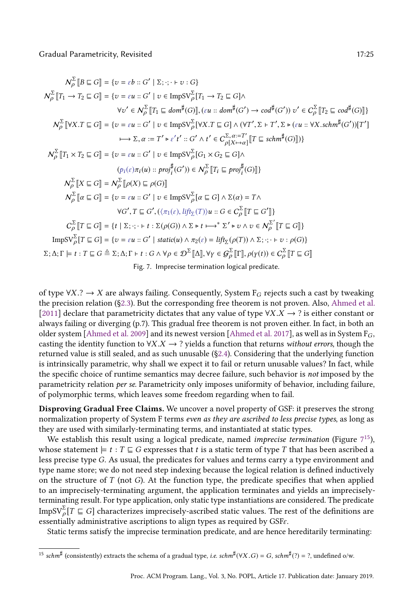<span id="page-24-0"></span>
$$
N_{\rho}^{\Sigma} [B \subseteq G] = \{v = \varepsilon b :: G' \mid \Sigma; \cdot; \cdot \vdash v : G\}
$$
\n
$$
N_{\rho}^{\Sigma} [T_1 \rightarrow T_2 \subseteq G] = \{v = \varepsilon u :: G' \mid v \in \text{ImpSV}_{\rho}^{\Sigma} [T_1 \rightarrow T_2 \subseteq G] \land \forall v' \in N_{\rho}^{\Sigma} [T_1 \subseteq dom^{\sharp}(G)], (\varepsilon u :: dom^{\sharp}(G') \rightarrow cod^{\sharp}(G')) v' \in C_{\rho}^{\Sigma} [T_2 \subseteq cod^{\sharp}(G)]\}
$$
\n
$$
N_{\rho}^{\Sigma} [\forall X. T \subseteq G] = \{v = \varepsilon u :: G' \mid v \in \text{ImpSV}_{\rho}^{\Sigma} [\forall X. T \subseteq G] \land (\forall T', \Sigma \vdash T', \Sigma \triangleright (\varepsilon u :: \forall X. \text{schm}^{\sharp}(G')) [T'] \rightarrow \text{Stm}^{\Sigma} \land \Sigma \land \varepsilon \vdash T' \land t' \in C_{\rho}[X \rightarrow \alpha] [T \subseteq schm^{\sharp}(G)])\}
$$
\n
$$
N_{\rho}^{\Sigma} [T_1 \times T_2 \subseteq G] = \{v = \varepsilon u :: G' \mid v \in \text{ImpSV}_{\rho}^{\Sigma} [G_1 \times G_2 \subseteq G] \land \text{(p}(\varepsilon) \land T_1(u) :: proj^{\sharp}(G')) \in N_{\rho}^{\Sigma} [T_1 \subseteq proj^{\sharp}(G)]\}
$$
\n
$$
N_{\rho}^{\Sigma} [X \subseteq G] = N_{\rho}^{\Sigma} [D(X) \subseteq \rho(G)]
$$
\n
$$
N_{\rho}^{\Sigma} [a \subseteq G] = \{v = \varepsilon u :: G' \mid v \in \text{ImpSV}_{\rho}^{\Sigma} [a \subseteq G] \land \Sigma(a) = T \land \text{(p} \land T_1(x) : T_1(x) : T_2(x) : T_1(x) : T_1(x) : T_2(x) : T_1(x) : T_2(x) : T_2(x) : T_1(x) : T_2(x) : T_2(x) : T_1(x) : T_2(x) : T_2(x) : T_2(x) : T_2(x) : T_2(x) : T_2(x) : T_2(x) : T_2(x) : T_2(x) : T_
$$

of type  $\forall X$ .?  $\rightarrow X$  are always failing. Consequently, System  $F_G$  rejects such a cast by tweaking the precision relation ([ğ2.3\)](#page-3-0). But the corresponding free theorem is not proven. Also, [Ahmed et al.](#page-27-13) [\[2011\]](#page-27-13) declare that parametricity dictates that any value of type  $\forall X.X \rightarrow ?$  is either constant or always failing or diverging (p.7). This gradual free theorem is not proven either. In fact, in both an older system [\[Ahmed et al.](#page-27-14) [2009\]](#page-27-19) and its newest version [Ahmed et al. [2017\]](#page-27-14), as well as in System  $F_G$ , casting the identity function to  $\forall X.X \rightarrow ?$  yields a function that returns without errors, though the returned value is still sealed, and as such unusable ([ğ2.4\)](#page-5-1). Considering that the underlying function is intrinsically parametric, why shall we expect it to fail or return unusable values? In fact, while the specific choice of runtime semantics may decree failure, such behavior is not imposed by the parametricity relation per se. Parametricity only imposes uniformity of behavior, including failure, of polymorphic terms, which leaves some freedom regarding when to fail.

Disproving Gradual Free Claims. We uncover a novel property of GSF: it preserves the strong normalization property of System F terms even as they are ascribed to less precise types, as long as they are used with similarly-terminating terms, and instantiated at static types.

We establish this result using a logical predicate, named *imprecise termination* (Figure  $7^{15}$  $7^{15}$  $7^{15}$  $7^{15}$ ), whose statement  $\models t : T \sqsubseteq G$  expresses that t is a static term of type T that has been ascribed a less precise type G. As usual, the predicates for values and terms carry a type environment and type name store; we do not need step indexing because the logical relation is defined inductively on the structure of  $T$  (not  $G$ ). At the function type, the predicate specifies that when applied to an imprecisely-terminating argument, the application terminates and yields an impreciselyterminating result. For type application, only static type instantiations are considered. The predicate ImpSV $\sum_{\rho}^{\infty}[T \subseteq G]$  characterizes imprecisely-ascribed static values. The rest of the definitions are essentially administrative ascriptions to align types as required by GSFε.

Static terms satisfy the imprecise termination predicate, and are hence hereditarily terminating:

<span id="page-24-1"></span><sup>&</sup>lt;sup>15</sup> schm<sup>‡</sup> (consistently) extracts the schema of a gradual type, *i.e.* schm $\frac{1}{r}(YX.G) = G$ , schm $\frac{1}{r}(?) = ?$ , undefined o/w.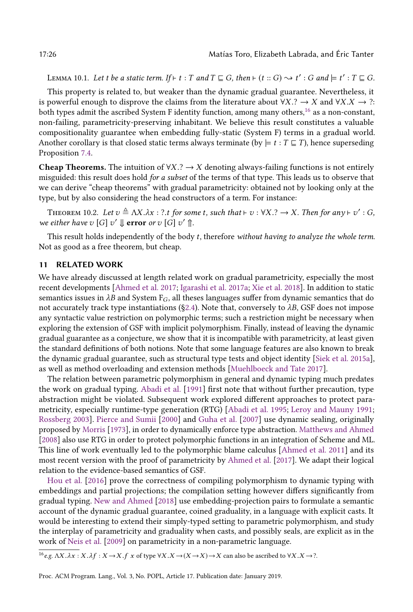LEMMA 10.1. Let t be a static term. If  $\vdash t : T$  and  $T \sqsubseteq G$ , then  $\vdash (t :: G) \leadsto t' : G$  and  $\models t' : T \sqsubseteq G$ .

This property is related to, but weaker than the dynamic gradual guarantee. Nevertheless, it is powerful enough to disprove the claims from the literature about  $\forall X \cdot ? \rightarrow X$  and  $\forall X \cdot X \rightarrow ?$ : both types admit the ascribed System F identity function, among many others,<sup>[16](#page-25-0)</sup> as a non-constant, non-failing, parametricity-preserving inhabitant. We believe this result constitutes a valuable compositionality guarantee when embedding fully-static (System F) terms in a gradual world. Another corollary is that closed static terms always terminate (by  $\models t : T \sqsubseteq T$ ), hence superseding Proposition [7.4.](#page-20-1)

**Cheap Theorems.** The intuition of  $\forall X. ? \rightarrow X$  denoting always-failing functions is not entirely misguided: this result does hold for a subset of the terms of that type. This leads us to observe that we can derive "cheap theorems" with gradual parametricity: obtained not by looking only at the type, but by also considering the head constructors of a term. For instance:

THEOREM 10.2. Let  $v \triangleq \Lambda X.\lambda x : ?.$  t for some t, such that  $\vdash v : \forall X . ? \rightarrow X$ . Then for any  $\vdash v' : G$ , we either have  $v[G]$   $v' \Downarrow$  error or  $v[G]$   $v' \Uparrow$ .

This result holds independently of the body  $t$ , therefore without having to analyze the whole term. Not as good as a free theorem, but cheap.

# 11 RELATED WORK

We have already discussed at length related work on gradual parametricity, especially the most recent developments [\[Ahmed et al.](#page-27-14) [2017;](#page-27-14) [Igarashi et al.](#page-27-15) [2017a;](#page-27-15) [Xie et al.](#page-29-2) [2018\]](#page-29-2). In addition to static semantics issues in  $\lambda B$  and System  $F_G$ , all theses languages suffer from dynamic semantics that do not accurately track type instantiations (§2.4). Note that, conversely to  $\lambda B$ , GSF does not impose any syntactic value restriction on polymorphic terms; such a restriction might be necessary when exploring the extension of GSF with implicit polymorphism. Finally, instead of leaving the dynamic gradual guarantee as a conjecture, we show that it is incompatible with parametricity, at least given the standard definitions of both notions. Note that some language features are also known to break the dynamic gradual guarantee, such as structural type tests and object identity [\[Siek et al.](#page-28-3) [2015a\]](#page-28-3), as well as method overloading and extension methods [\[Muehlboeck and Tate 2017\]](#page-28-19).

The relation between parametric polymorphism in general and dynamic typing much predates the work on gradual typing. [Abadi et al.](#page-27-0) [\[1991\]](#page-27-0) first note that without further precaution, type abstraction might be violated. Subsequent work explored different approaches to protect parametricity, especially runtime-type generation (RTG) [\[Abadi et al.](#page-27-21) [1995;](#page-27-21) [Leroy and Mauny 1991;](#page-28-20) [Rossberg 2003\]](#page-28-21). [Pierce and Sumii](#page-28-22) [\[2000\]](#page-28-22) and [Guha et al.](#page-27-22) [\[2007\]](#page-27-22) use dynamic sealing, originally proposed by [Morris](#page-28-23) [\[1973\]](#page-28-23), in order to dynamically enforce type abstraction. [Matthews and Ahmed](#page-28-17) [\[2008\]](#page-28-17) also use RTG in order to protect polymorphic functions in an integration of Scheme and ML. This line of work eventually led to the polymorphic blame calculus [\[Ahmed et al.](#page-27-13) [2011\]](#page-27-13) and its most recent version with the proof of parametricity by [Ahmed et al.](#page-27-14) [\[2017\]](#page-27-14). We adapt their logical relation to the evidence-based semantics of GSF.

[Hou et al.](#page-27-23) [\[2016\]](#page-27-23) prove the correctness of compiling polymorphism to dynamic typing with embeddings and partial projections; the compilation setting however differs significantly from gradual typing. [New and Ahmed](#page-28-24) [\[2018\]](#page-28-24) use embedding-projection pairs to formulate a semantic account of the dynamic gradual guarantee, coined graduality, in a language with explicit casts. It would be interesting to extend their simply-typed setting to parametric polymorphism, and study the interplay of parametricity and graduality when casts, and possibly seals, are explicit as in the work of [Neis et al.](#page-28-25) [\[2009\]](#page-28-25) on parametricity in a non-parametric language.

<span id="page-25-0"></span><sup>16</sup>e.g.  $\Lambda X \cdot \lambda x : X \cdot \lambda f : X \to X \cdot f$  x of type  $\forall X \cdot X \to (X \to X) \to X$  can also be ascribed to  $\forall X \cdot X \to ?$ .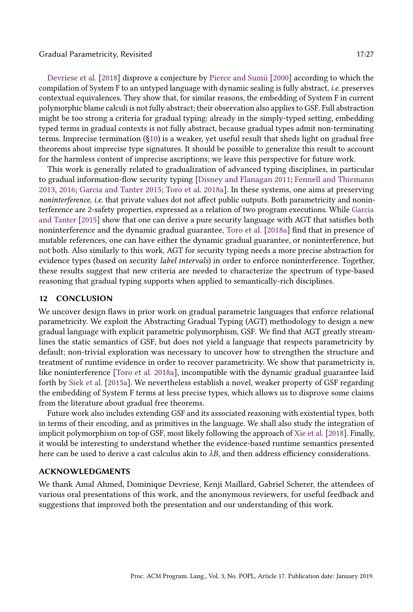### Gradual Parametricity, Revisited 17:27 (17:27) 17:27

[Devriese et al.](#page-27-20) [\[2018\]](#page-27-20) disprove a conjecture by [Pierce and Sumii](#page-28-22) [\[2000\]](#page-28-22) according to which the compilation of System F to an untyped language with dynamic sealing is fully abstract, i.e. preserves contextual equivalences. They show that, for similar reasons, the embedding of System F in current polymorphic blame calculi is not fully abstract; their observation also applies to GSF. Full abstraction might be too strong a criteria for gradual typing: already in the simply-typed setting, embedding typed terms in gradual contexts is not fully abstract, because gradual types admit non-terminating terms. Imprecise termination ([ğ10\)](#page-23-0) is a weaker, yet useful result that sheds light on gradual free theorems about imprecise type signatures. It should be possible to generalize this result to account for the harmless content of imprecise ascriptions; we leave this perspective for future work.

This work is generally related to gradualization of advanced typing disciplines, in particular to gradual information-flow security typing [\[Disney and Flanagan 2011;](#page-27-8) [Fennell and Thiemann](#page-27-9) [2013,](#page-27-9) [2016;](#page-27-24) [Garcia and Tanter 2015;](#page-27-25) [Toro et al.](#page-28-7) [2018a\]](#page-28-7). In these systems, one aims at preserving noninterference, i.e. that private values dot not affect public outputs. Both parametricity and noninterference are 2-safety properties, expressed as a relation of two program executions. While [Garcia](#page-27-25) [and Tanter](#page-27-25) [\[2015\]](#page-27-25) show that one can derive a pure security language with AGT that satisfies both noninterference and the dynamic gradual guarantee, [Toro et al.](#page-28-7) [\[2018a\]](#page-28-7) find that in presence of mutable references, one can have either the dynamic gradual guarantee, or noninterference, but not both. Also similarly to this work, AGT for security typing needs a more precise abstraction for evidence types (based on security label intervals) in order to enforce noninterference. Together, these results suggest that new criteria are needed to characterize the spectrum of type-based reasoning that gradual typing supports when applied to semantically-rich disciplines.

### 12 CONCLUSION

We uncover design flaws in prior work on gradual parametric languages that enforce relational parametricity. We exploit the Abstracting Gradual Typing (AGT) methodology to design a new gradual language with explicit parametric polymorphism, GSF. We find that AGT greatly streamlines the static semantics of GSF, but does not yield a language that respects parametricity by default; non-trivial exploration was necessary to uncover how to strengthen the structure and treatment of runtime evidence in order to recover parametricity. We show that parametricity is, like noninterference [\[Toro et al.](#page-28-7) [2018a\]](#page-28-7), incompatible with the dynamic gradual guarantee laid forth by [Siek et al.](#page-28-3) [\[2015a\]](#page-28-3). We nevertheless establish a novel, weaker property of GSF regarding the embedding of System F terms at less precise types, which allows us to disprove some claims from the literature about gradual free theorems.

Future work also includes extending GSF and its associated reasoning with existential types, both in terms of their encoding, and as primitives in the language. We shall also study the integration of implicit polymorphism on top of GSF, most likely following the approach of [Xie et al.](#page-29-2) [\[2018\]](#page-29-2). Finally, it would be interesting to understand whether the evidence-based runtime semantics presented here can be used to derive a cast calculus akin to  $\lambda B$ , and then address efficiency considerations.

### ACKNOWLEDGMENTS

We thank Amal Ahmed, Dominique Devriese, Kenji Maillard, Gabriel Scherer, the attendees of various oral presentations of this work, and the anonymous reviewers, for useful feedback and suggestions that improved both the presentation and our understanding of this work.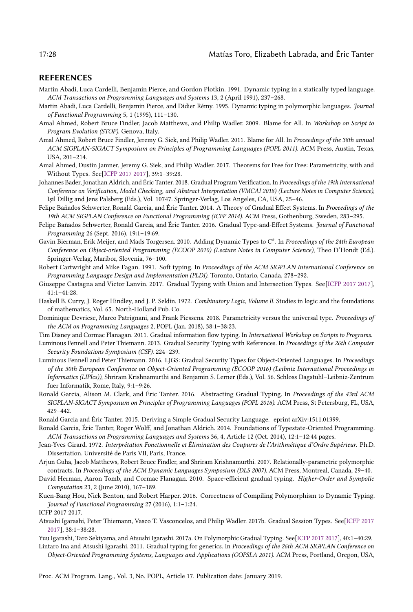### REFERENCES

- <span id="page-27-0"></span>Martin Abadi, Luca Cardelli, Benjamin Pierce, and Gordon Plotkin. 1991. Dynamic typing in a statically typed language. ACM Transactions on Programming Languages and Systems 13, 2 (April 1991), 237-268.
- <span id="page-27-21"></span>Martin Abadi, Luca Cardelli, Benjamin Pierce, and Didier Rémy. 1995. Dynamic typing in polymorphic languages. Journal of Functional Programming 5, 1 (1995), 111-130.
- <span id="page-27-19"></span>Amal Ahmed, Robert Bruce Findler, Jacob Matthews, and Philip Wadler. 2009. Blame for All. In Workshop on Script to Program Evolution (STOP). Genova, Italy.
- <span id="page-27-13"></span>Amal Ahmed, Robert Bruce Findler, Jeremy G. Siek, and Philip Wadler. 2011. Blame for All. In Proceedings of the 38th annual ACM SIGPLAN-SIGACT Symposium on Principles of Programming Languages (POPL 2011). ACM Press, Austin, Texas, USA, 201-214.
- <span id="page-27-14"></span>Amal Ahmed, Dustin Jamner, Jeremy G. Siek, and Philip Wadler. 2017. Theorems for Free for Free: Parametricity, with and Without Types. See<sup>[\[ICFP 2017 2017\]](#page-27-26)</sup>, 39:1-39:28.
- <span id="page-27-12"></span>Johannes Bader, Jonathan Aldrich, and Éric Tanter. 2018. Gradual Program Verification. In Proceedings of the 19th International Conference on Verification, Model Checking, and Abstract Interpretation (VMCAI 2018) (Lecture Notes in Computer Science), Işil Dillig and Jens Palsberg (Eds.), Vol. 10747. Springer-Verlag, Los Angeles, CA, USA, 25-46.
- <span id="page-27-5"></span>Felipe Bañados Schwerter, Ronald Garcia, and Éric Tanter. 2014. A Theory of Gradual Effect Systems. In Proceedings of the 19th ACM SIGPLAN Conference on Functional Programming (ICFP 2014). ACM Press, Gothenburg, Sweden, 283-295.
- <span id="page-27-6"></span>Felipe Bañados Schwerter, Ronald Garcia, and Éric Tanter. 2016. Gradual Type-and-Effect Systems. Journal of Functional Programming 26 (Sept. 2016), 19:1-19:69.
- <span id="page-27-1"></span>Gavin Bierman, Erik Meijer, and Mads Torgersen. 2010. Adding Dynamic Types to C $^\#$ . In *Proceedings of the 24th European* Conference on Object-oriented Programming (ECOOP 2010) (Lecture Notes in Computer Science), Theo D'Hondt (Ed.). Springer-Verlag, Maribor, Slovenia, 76-100.
- <span id="page-27-2"></span>Robert Cartwright and Mike Fagan. 1991. Soft typing. In Proceedings of the ACM SIGPLAN International Conference on Programming Language Design and Implementation (PLDI). Toronto, Ontario, Canada, 278-292.
- <span id="page-27-11"></span>Giuseppe Castagna and Victor Lanvin. 2017. Gradual Typing with Union and Intersection Types. See[\[ICFP 2017 2017\]](#page-27-26),  $41 \cdot 1 - 41 \cdot 28$
- <span id="page-27-18"></span>Haskell B. Curry, J. Roger Hindley, and J. P. Seldin. 1972. Combinatory Logic, Volume II. Studies in logic and the foundations of mathematics, Vol. 65. North-Holland Pub. Co.
- <span id="page-27-20"></span>Dominique Devriese, Marco Patrignani, and Frank Piessens. 2018. Parametricity versus the universal type. Proceedings of the ACM on Programming Languages 2, POPL (Jan. 2018), 38:1-38:23.
- <span id="page-27-8"></span>Tim Disney and Cormac Flanagan. 2011. Gradual information flow typing. In International Workshop on Scripts to Programs.
- <span id="page-27-9"></span>Luminous Fennell and Peter Thiemann. 2013. Gradual Security Typing with References. In Proceedings of the 26th Computer Security Foundations Symposium (CSF). 224-239.
- <span id="page-27-24"></span>Luminous Fennell and Peter Thiemann. 2016. LJGS: Gradual Security Types for Object-Oriented Languages. In Proceedings of the 30th European Conference on Object-Oriented Programming (ECOOP 2016) (Leibniz International Proceedings in Informatics (LIPIcs)), Shriram Krishnamurthi and Benjamin S. Lerner (Eds.), Vol. 56. Schloss Dagstuhl-Leibniz-Zentrum fuer Informatik, Rome, Italy, 9:1-9:26.
- <span id="page-27-3"></span>Ronald Garcia, Alison M. Clark, and Éric Tanter. 2016. Abstracting Gradual Typing. In Proceedings of the 43rd ACM SIGPLAN-SIGACT Symposium on Principles of Programming Languages (POPL 2016). ACM Press, St Petersburg, FL, USA, 429-442.
- <span id="page-27-25"></span>Ronald Garcia and Éric Tanter. 2015. Deriving a Simple Gradual Security Language. eprint arXiv:1511.01399.
- <span id="page-27-7"></span>Ronald Garcia, Éric Tanter, Roger Wolff, and Jonathan Aldrich. 2014. Foundations of Typestate-Oriented Programming. ACM Transactions on Programming Languages and Systems 36, 4, Article 12 (Oct. 2014), 12:1-12:44 pages.
- <span id="page-27-17"></span>Jean-Yves Girard. 1972. Interprétation Fonctionnelle et Élimination des Coupures de l'Arithmétique d'Ordre Supérieur. Ph.D. Dissertation. Université de Paris VII, Paris, France.
- <span id="page-27-22"></span>Arjun Guha, Jacob Matthews, Robert Bruce Findler, and Shriram Krishnamurthi. 2007. Relationally-parametric polymorphic contracts. In Proceedings of the ACM Dynamic Languages Symposium (DLS 2007). ACM Press, Montreal, Canada, 29-40.
- <span id="page-27-4"></span>David Herman, Aaron Tomb, and Cormac Flanagan. 2010. Space-efficient gradual typing. Higher-Order and Sympolic Computation 23, 2 (June 2010), 167-189.
- <span id="page-27-23"></span>Kuen-Bang Hou, Nick Benton, and Robert Harper. 2016. Correctness of Compiling Polymorphism to Dynamic Typing. Journal of Functional Programming 27 (2016), 1:1-1:24.

<span id="page-27-26"></span>ICFP 2017 2017.

- <span id="page-27-10"></span>Atsushi Igarashi, Peter Thiemann, Vasco T. Vasconcelos, and Philip Wadler. 2017b. Gradual Session Types. See[\[ICFP 2017](#page-27-26) [2017\]](#page-27-26), 38:1-38:28.
- <span id="page-27-15"></span>Yuu Igarashi, Taro Sekiyama, and Atsushi Igarashi. 2017a. On Polymorphic Gradual Typing. See[\[ICFP 2017 2017\]](#page-27-26), 40:1-40:29.
- <span id="page-27-16"></span>Lintaro Ina and Atsushi Igarashi. 2011. Gradual typing for generics. In Proceedings of the 26th ACM SIGPLAN Conference on Object-Oriented Programming Systems, Languages and Applications (OOPSLA 2011). ACM Press, Portland, Oregon, USA,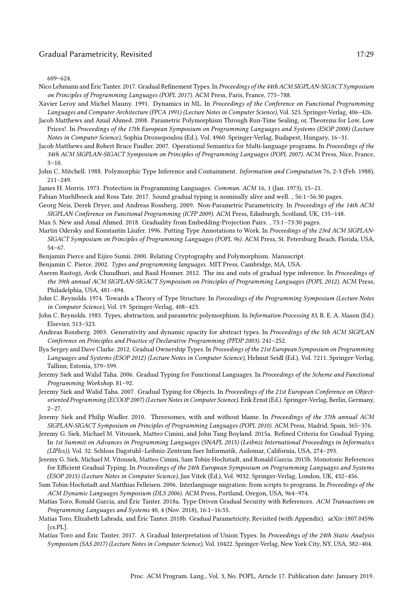#### Gradual Parametricity, Revisited 17:29 17:29

 $609 - 624.$ 

- <span id="page-28-8"></span>Nico Lehmann and Éric Tanter. 2017. Gradual Refinement Types. In Proceedings of the 44th ACM SIGPLAN-SIGACT Symposium on Principles of Programming Languages (POPL 2017). ACM Press, Paris, France, 775-788.
- <span id="page-28-20"></span>Xavier Leroy and Michel Mauny. 1991. Dynamics in ML. In Proceedings of the Conference on Functional Programming Languages and Computer Architecture (FPCA 1991) (Lecture Notes in Computer Science), Vol. 523. Springer-Verlag, 406-426.
- <span id="page-28-17"></span>Jacob Matthews and Amal Ahmed. 2008. Parametric Polymorphism Through Run-Time Sealing, or, Theorems for Low, Low Prices!. In Proceedings of the 17th European Symposium on Programming Languages and Systems (ESOP 2008) (Lecture Notes in Computer Science), Sophia Drossopoulou (Ed.), Vol. 4960. Springer-Verlag, Budapest, Hungary, 16-31.
- <span id="page-28-0"></span>Jacob Matthews and Robert Bruce Findler. 2007. Operational Semantics for Multi-language programs. In Proceedings of the 34th ACM SIGPLAN-SIGACT Symposium on Principles of Programming Languages (POPL 2007). ACM Press, Nice, France,  $3 - 10$ .
- <span id="page-28-12"></span>John C. Mitchell. 1988. Polymorphic Type Inference and Containment. Information and Computation 76, 2-3 (Feb. 1988),  $211 - 249.$
- <span id="page-28-23"></span>James H. Morris. 1973. Protection in Programming Languages. Commun. ACM 16, 1 (Jan. 1973), 15-21.
- <span id="page-28-19"></span>Fabian Muehlboeck and Ross Tate. 2017. Sound gradual typing is nominally alive and well. , 56:1-56:30 pages.
- <span id="page-28-25"></span>Georg Neis, Derek Dryer, and Andreas Rossberg. 2009. Non-Parametric Parametricity. In Proceedings of the 14th ACM SIGPLAN Conference on Functional Programming (ICFP 2009). ACM Press, Edinburgh, Scotland, UK, 135-148.
- <span id="page-28-24"></span>Max S. New and Amal Ahmed. 2018. Graduality from Embedding-Projection Pairs., 73:1-73:30 pages.
- <span id="page-28-13"></span>Martin Odersky and Konstantin Läufer. 1996. Putting Type Annotations to Work. In Proceedings of the 23rd ACM SIGPLAN-SIGACT Symposium on Principles of Programming Languages (POPL 96). ACM Press, St. Petersburg Beach, Florida, USA,  $54 - 67.$
- <span id="page-28-22"></span>Benjamin Pierce and Eijiro Sumii. 2000. Relating Cryptography and Polymorphism. Manuscript.
- <span id="page-28-18"></span>Benjamin C. Pierce. 2002. Types and programming languages. MIT Press, Cambridge, MA, USA.
- <span id="page-28-15"></span>Aseem Rastogi, Avik Chaudhuri, and Basil Hosmer. 2012. The ins and outs of gradual type inference. In Proceedings of the 39th annual ACM SIGPLAN-SIGACT Symposium on Principles of Programming Languages (POPL 2012). ACM Press, Philadelphia, USA, 481-494.
- <span id="page-28-11"></span>John C. Reynolds. 1974. Towards a Theory of Type Structure. In Porceedings of the Programming Symposium (Lecture Notes in Computer Science), Vol. 19. Springer-Verlag, 408-423.
- <span id="page-28-9"></span>John C. Reynolds. 1983. Types, abstraction, and parametric polymorphism. In Information Processing 83, R. E. A. Mason (Ed.). Elsevier, 513-523.
- <span id="page-28-21"></span>Andreas Rossberg. 2003. Generativity and dynamic opacity for abstract types. In Proceedings of the 5th ACM SIGPLAN Conference on Principles and Practice of Declarative Programming (PPDP 2003). 241-252.
- <span id="page-28-6"></span>Ilya Sergey and Dave Clarke. 2012. Gradual Ownership Types. In Proceedings of the 21st European Symposium on Programming Languages and Systems (ESOP 2012) (Lecture Notes in Computer Science), Helmut Seidl (Ed.), Vol. 7211. Springer-Verlag, Tallinn, Estonia, 579-599.
- <span id="page-28-2"></span>Jeremy Siek and Walid Taha. 2006. Gradual Typing for Functional Languages. In Proceedings of the Scheme and Functional Programming Workshop. 81-92.
- <span id="page-28-4"></span>Jeremy Siek and Walid Taha. 2007. Gradual Typing for Objects. In Proceedings of the 21st European Conference on Objectoriented Programming (ECOOP 2007) (Lecture Notes in Computer Science), Erik Ernst (Ed.). Springer-Verlag, Berlin, Germany,  $2 - 27$ .
- <span id="page-28-14"></span>Jeremy Siek and Philip Wadler. 2010. Threesomes, with and without blame. In Proceedings of the 37th annual ACM SIGPLAN-SIGACT Symposium on Principles of Programming Languages (POPL 2010). ACM Press, Madrid, Spain, 365-376.
- <span id="page-28-3"></span>Jeremy G. Siek, Michael M. Vitousek, Matteo Cimini, and John Tang Boyland. 2015a. Refined Criteria for Gradual Typing. In 1st Summit on Advances in Programming Languages (SNAPL 2015) (Leibniz International Proceedings in Informatics (LIPIcs)), Vol. 32. Schloss Dagstuhl-Leibniz-Zentrum fuer Informatik, Asilomar, California, USA, 274-293.
- <span id="page-28-5"></span>Jeremy G. Siek, Michael M. Vitousek, Matteo Cimini, Sam Tobin-Hochstadt, and Ronald Garcia. 2015b. Monotonic References for Efficient Gradual Typing. In Proceedings of the 24th European Symposium on Programming Languages and Systems (ESOP 2015) (Lecture Notes in Computer Science), Jan Vitek (Ed.), Vol. 9032. Springer-Verlag, London, UK, 432-456.
- <span id="page-28-1"></span>Sam Tobin-Hochstadt and Matthias Felleisen. 2006. Interlanguage migration: from scripts to programs. In Proceedings of the ACM Dynamic Languages Symposium (DLS 2006). ACM Press, Portland, Oregon, USA, 964-974.
- <span id="page-28-7"></span>Matías Toro, Ronald Garcia, and Éric Tanter. 2018a. Type-Driven Gradual Security with References. ACM Transactions on Programming Languages and Systems 40, 4 (Nov. 2018), 16:1-16:55.
- <span id="page-28-10"></span>Matías Toro, Elizabeth Labrada, and Éric Tanter. 2018b. Gradual Parametricity, Revisited (with Appendix). arXiv:1807.04596 [cs.PL].
- <span id="page-28-16"></span>Matías Toro and Éric Tanter. 2017. A Gradual Interpretation of Union Types. In Proceedings of the 24th Static Analysis Symposium (SAS 2017) (Lecture Notes in Computer Science), Vol. 10422. Springer-Verlag, New York City, NY, USA, 382-404.